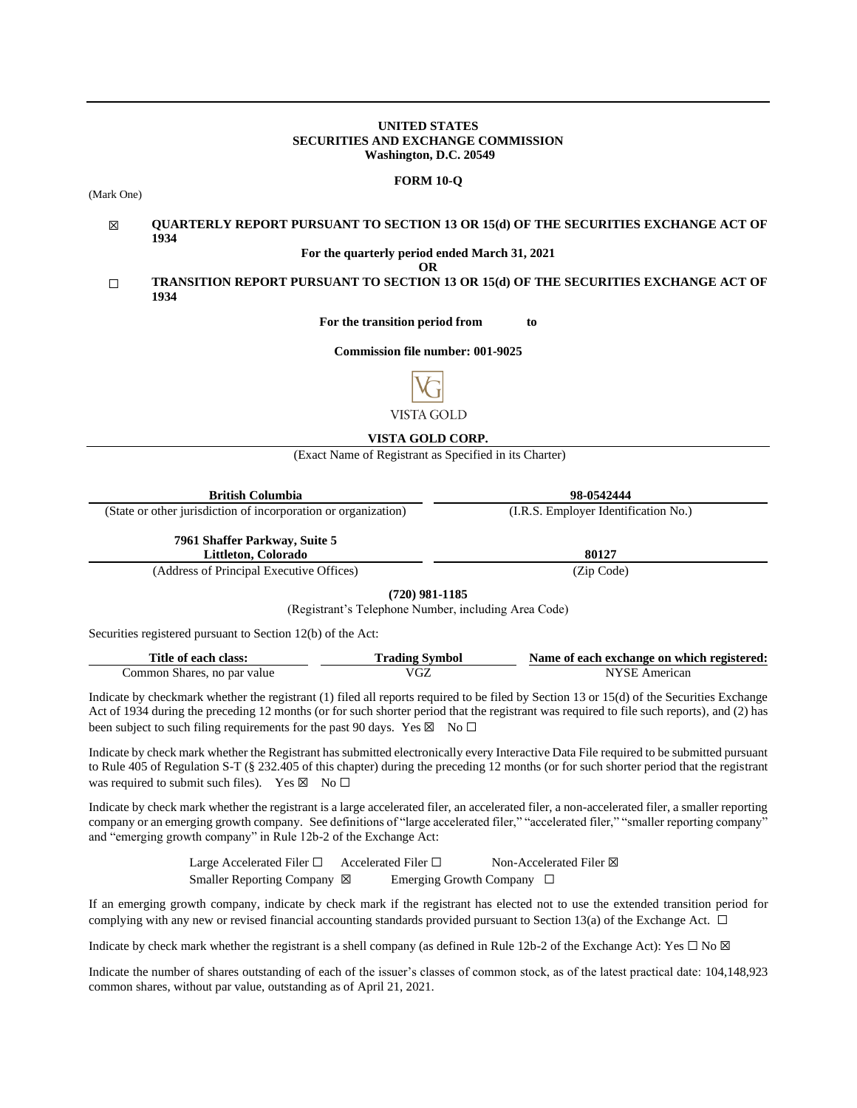### **UNITED STATES SECURITIES AND EXCHANGE COMMISSION Washington, D.C. 20549**

#### **FORM 10-Q**

(Mark One)

#### ☒ **QUARTERLY REPORT PURSUANT TO SECTION 13 OR 15(d) OF THE SECURITIES EXCHANGE ACT OF 1934**

**For the quarterly period ended March 31, 2021**

**OR**

### ☐ **TRANSITION REPORT PURSUANT TO SECTION 13 OR 15(d) OF THE SECURITIES EXCHANGE ACT OF 1934**

**For the transition period from to**

**Commission file number: 001-9025**



### **VISTA GOLD CORP.**

(Exact Name of Registrant as Specified in its Charter)

| <b>British Columbia</b>                                        | 98-0542444                           |
|----------------------------------------------------------------|--------------------------------------|
| (State or other jurisdiction of incorporation or organization) | (I.R.S. Employer Identification No.) |
| 7961 Shaffer Parkway, Suite 5<br>Littleton, Colorado           | 80127                                |
| $(11 \t{cm}^2 \t{cm}^2 \t{cm}^2 \t{cm}^2)$                     | (7.01)                               |

(Address of Principal Executive Offices) (Zip Code)

**(720) 981-1185**

(Registrant's Telephone Number, including Area Code)

Securities registered pursuant to Section 12(b) of the Act:

| Title of each class:        | Trading Symbol | Name of each exchange on which registered: |
|-----------------------------|----------------|--------------------------------------------|
| Common Shares, no par value | VGZ            | NYSE American                              |

Indicate by checkmark whether the registrant (1) filed all reports required to be filed by Section 13 or 15(d) of the Securities Exchange Act of 1934 during the preceding 12 months (or for such shorter period that the registrant was required to file such reports), and (2) has been subject to such filing requirements for the past 90 days. Yes  $\boxtimes$  No  $\Box$ 

Indicate by check mark whether the Registrant has submitted electronically every Interactive Data File required to be submitted pursuant to Rule 405 of Regulation S-T (§ 232.405 of this chapter) during the preceding 12 months (or for such shorter period that the registrant was required to submit such files). Yes  $\boxtimes$  No  $\Box$ 

Indicate by check mark whether the registrant is a large accelerated filer, an accelerated filer, a non-accelerated filer, a smaller reporting company or an emerging growth company. See definitions of "large accelerated filer," "accelerated filer," "smaller reporting company" and "emerging growth company" in Rule 12b-2 of the Exchange Act:

> Large Accelerated Filer □ Accelerated Filer □ Non-Accelerated Filer ⊠ Smaller Reporting Company ⊠ Emerging Growth Company □

If an emerging growth company, indicate by check mark if the registrant has elected not to use the extended transition period for complying with any new or revised financial accounting standards provided pursuant to Section 13(a) of the Exchange Act.  $\Box$ 

Indicate by check mark whether the registrant is a shell company (as defined in Rule 12b-2 of the Exchange Act): Yes  $\Box$  No  $\boxtimes$ 

Indicate the number of shares outstanding of each of the issuer's classes of common stock, as of the latest practical date: 104,148,923 common shares, without par value, outstanding as of April 21, 2021.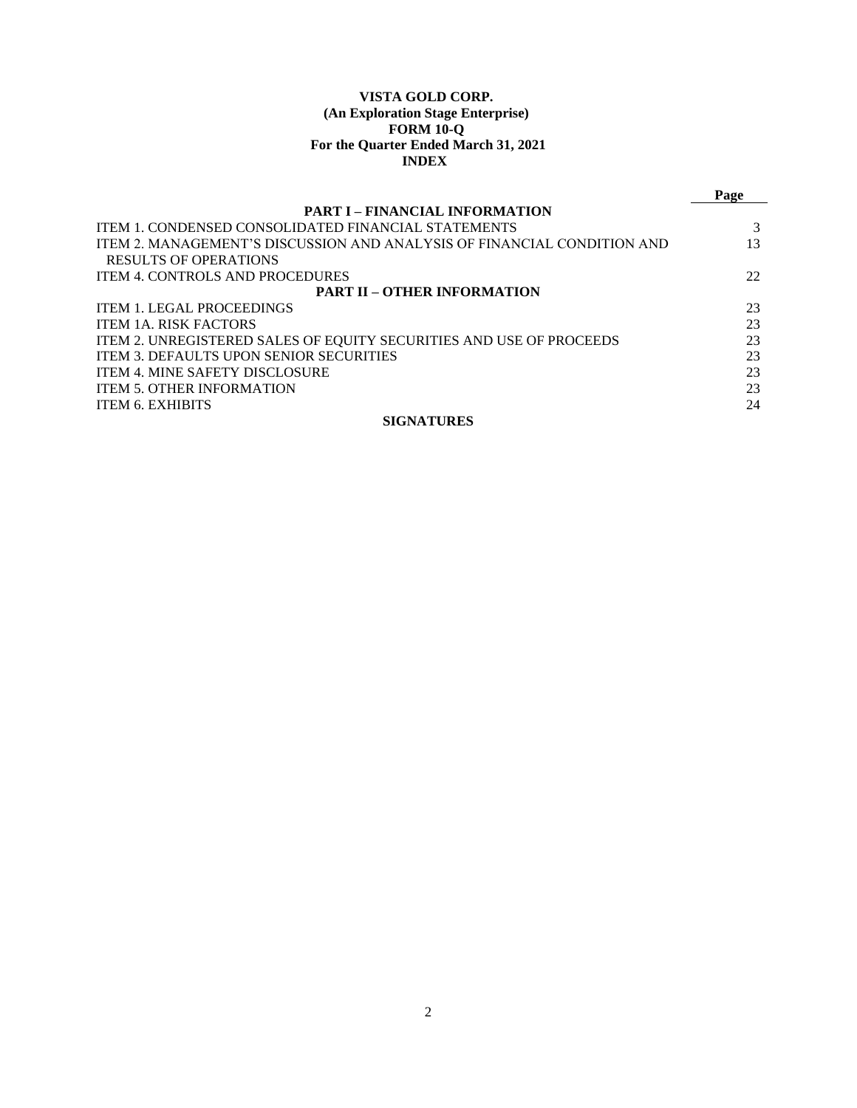# **VISTA GOLD CORP. (An Exploration Stage Enterprise) FORM 10-Q For the Quarter Ended March 31, 2021 INDEX**

|                                                                         | Page |
|-------------------------------------------------------------------------|------|
| <b>PART I – FINANCIAL INFORMATION</b>                                   |      |
| <b>ITEM 1. CONDENSED CONSOLIDATED FINANCIAL STATEMENTS</b>              |      |
| ITEM 2. MANAGEMENT'S DISCUSSION AND ANALYSIS OF FINANCIAL CONDITION AND | 13   |
| <b>RESULTS OF OPERATIONS</b>                                            |      |
| <b>ITEM 4. CONTROLS AND PROCEDURES</b>                                  | 22   |
| <b>PART II – OTHER INFORMATION</b>                                      |      |
| <b>ITEM 1. LEGAL PROCEEDINGS</b>                                        | 23   |
| <b>ITEM 1A. RISK FACTORS</b>                                            | 23   |
| ITEM 2. UNREGISTERED SALES OF EQUITY SECURITIES AND USE OF PROCEEDS     | 23   |
| <b>ITEM 3. DEFAULTS UPON SENIOR SECURITIES</b>                          | 23   |
| <b>ITEM 4. MINE SAFETY DISCLOSURE</b>                                   | 23   |
| <b>ITEM 5. OTHER INFORMATION</b>                                        | 23   |
| <b>ITEM 6. EXHIBITS</b>                                                 | 24   |
| <b>SIGNATURES</b>                                                       |      |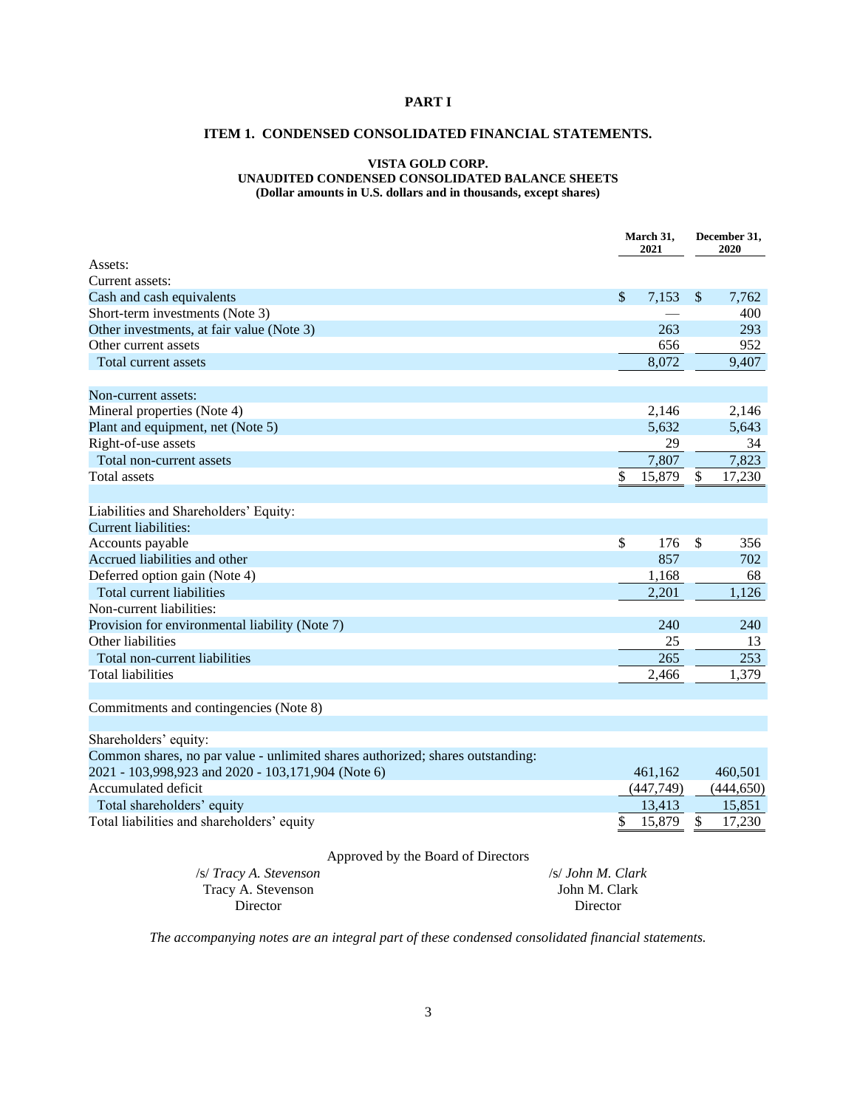# <span id="page-2-1"></span><span id="page-2-0"></span>**PART I**

# **ITEM 1. CONDENSED CONSOLIDATED FINANCIAL STATEMENTS.**

### **VISTA GOLD CORP. UNAUDITED CONDENSED CONSOLIDATED BALANCE SHEETS (Dollar amounts in U.S. dollars and in thousands, except shares)**

|                                                                                |                   | March 31,<br>2021 |           | December 31,<br>2020 |            |
|--------------------------------------------------------------------------------|-------------------|-------------------|-----------|----------------------|------------|
| Assets:                                                                        |                   |                   |           |                      |            |
| Current assets:                                                                |                   |                   |           |                      |            |
| Cash and cash equivalents                                                      |                   | $\mathcal{S}$     | 7,153     | $\mathcal{S}$        | 7,762      |
| Short-term investments (Note 3)                                                |                   |                   |           |                      | 400        |
| Other investments, at fair value (Note 3)                                      |                   |                   | 263       |                      | 293        |
| Other current assets                                                           |                   |                   | 656       |                      | 952        |
| Total current assets                                                           |                   |                   | 8,072     |                      | 9,407      |
|                                                                                |                   |                   |           |                      |            |
| Non-current assets:                                                            |                   |                   |           |                      |            |
| Mineral properties (Note 4)                                                    |                   |                   | 2,146     |                      | 2,146      |
| Plant and equipment, net (Note 5)                                              |                   |                   | 5,632     |                      | 5,643      |
| Right-of-use assets                                                            |                   |                   | 29        |                      | 34         |
| Total non-current assets                                                       |                   |                   | 7,807     |                      | 7,823      |
| Total assets                                                                   |                   | \$                | 15,879    | \$                   | 17,230     |
|                                                                                |                   |                   |           |                      |            |
| Liabilities and Shareholders' Equity:                                          |                   |                   |           |                      |            |
| <b>Current liabilities:</b>                                                    |                   |                   |           |                      |            |
| Accounts payable                                                               |                   | \$                | 176       | \$                   | 356        |
| Accrued liabilities and other                                                  |                   |                   | 857       |                      | 702        |
| Deferred option gain (Note 4)                                                  |                   |                   | 1,168     |                      | 68         |
| Total current liabilities                                                      |                   |                   | 2,201     |                      | 1,126      |
| Non-current liabilities:                                                       |                   |                   |           |                      |            |
| Provision for environmental liability (Note 7)                                 |                   |                   | 240       |                      | 240        |
| Other liabilities                                                              |                   |                   | 25        |                      | 13         |
| Total non-current liabilities                                                  |                   |                   | 265       |                      | 253        |
| <b>Total liabilities</b>                                                       |                   |                   | 2,466     |                      | 1,379      |
|                                                                                |                   |                   |           |                      |            |
| Commitments and contingencies (Note 8)                                         |                   |                   |           |                      |            |
| Shareholders' equity:                                                          |                   |                   |           |                      |            |
|                                                                                |                   |                   |           |                      |            |
| Common shares, no par value - unlimited shares authorized; shares outstanding: |                   |                   |           |                      |            |
| 2021 - 103,998,923 and 2020 - 103,171,904 (Note 6)<br>Accumulated deficit      |                   |                   | 461,162   |                      | 460,501    |
|                                                                                |                   |                   | (447,749) |                      | (444, 650) |
| Total shareholders' equity                                                     |                   |                   | 13,413    |                      | 15,851     |
| Total liabilities and shareholders' equity                                     |                   | \$                | 15,879    | \$                   | 17,230     |
| Approved by the Board of Directors                                             |                   |                   |           |                      |            |
| /s/ Tracy A. Stevenson                                                         | /s/ John M. Clark |                   |           |                      |            |
| Tracy A. Stevenson                                                             | John M. Clark     |                   |           |                      |            |

*The accompanying notes are an integral part of these condensed consolidated financial statements.*

Director

Director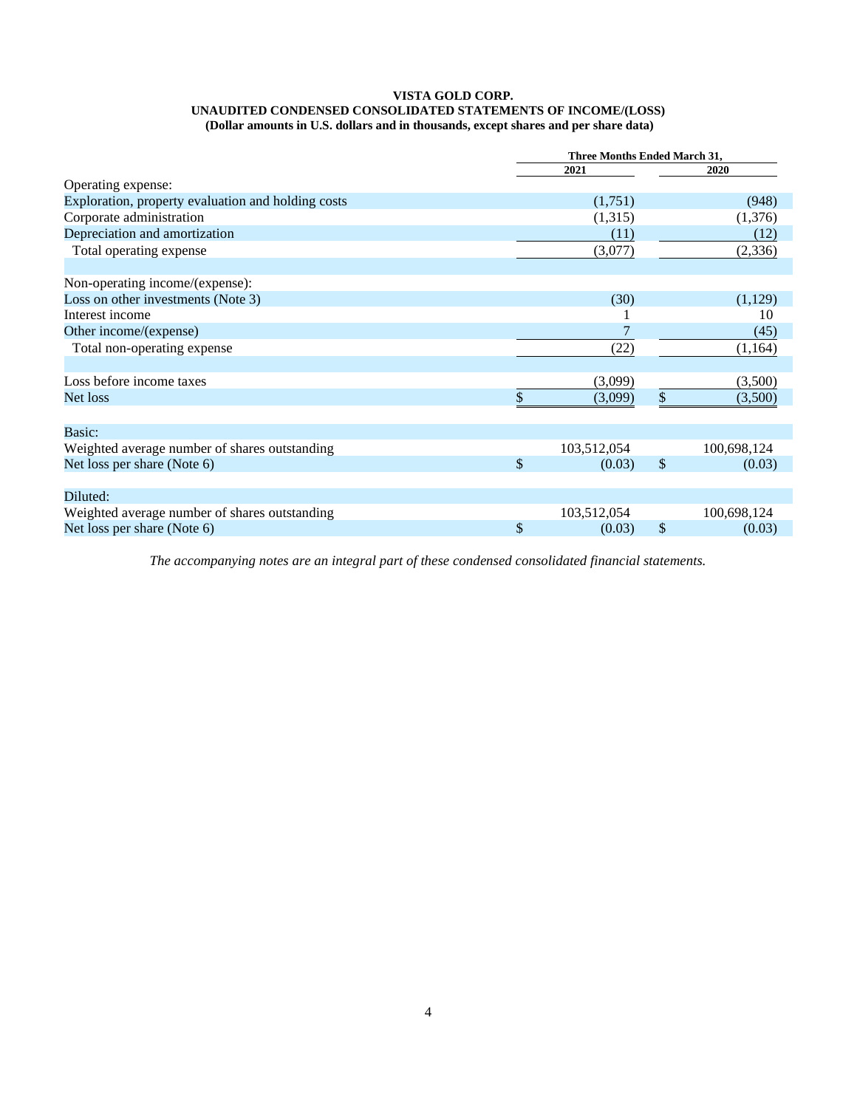#### **VISTA GOLD CORP. UNAUDITED CONDENSED CONSOLIDATED STATEMENTS OF INCOME/(LOSS) (Dollar amounts in U.S. dollars and in thousands, except shares and per share data)**

|                                                    | Three Months Ended March 31, |               |             |  |
|----------------------------------------------------|------------------------------|---------------|-------------|--|
|                                                    | 2021                         |               | 2020        |  |
| Operating expense:                                 |                              |               |             |  |
| Exploration, property evaluation and holding costs | (1,751)                      |               | (948)       |  |
| Corporate administration                           | (1,315)                      |               | (1,376)     |  |
| Depreciation and amortization                      | (11)                         |               | (12)        |  |
| Total operating expense                            | (3,077)                      |               | (2, 336)    |  |
| Non-operating income/(expense):                    |                              |               |             |  |
| Loss on other investments (Note 3)                 | (30)                         |               | (1,129)     |  |
| Interest income                                    |                              |               | 10          |  |
| Other income/(expense)                             |                              |               | (45)        |  |
| Total non-operating expense                        | (22)                         |               | (1,164)     |  |
| Loss before income taxes                           | (3,099)                      |               | (3,500)     |  |
| Net loss                                           | (3,099)                      | \$            | (3,500)     |  |
| Basic:                                             |                              |               |             |  |
| Weighted average number of shares outstanding      | 103,512,054                  |               | 100,698,124 |  |
| Net loss per share (Note 6)                        | \$<br>(0.03)                 | $\mathcal{S}$ | (0.03)      |  |
|                                                    |                              |               |             |  |
| Diluted:                                           |                              |               |             |  |
| Weighted average number of shares outstanding      | 103,512,054                  |               | 100,698,124 |  |
| Net loss per share (Note 6)                        | \$<br>(0.03)                 | $\mathbb{S}$  | (0.03)      |  |

*The accompanying notes are an integral part of these condensed consolidated financial statements.*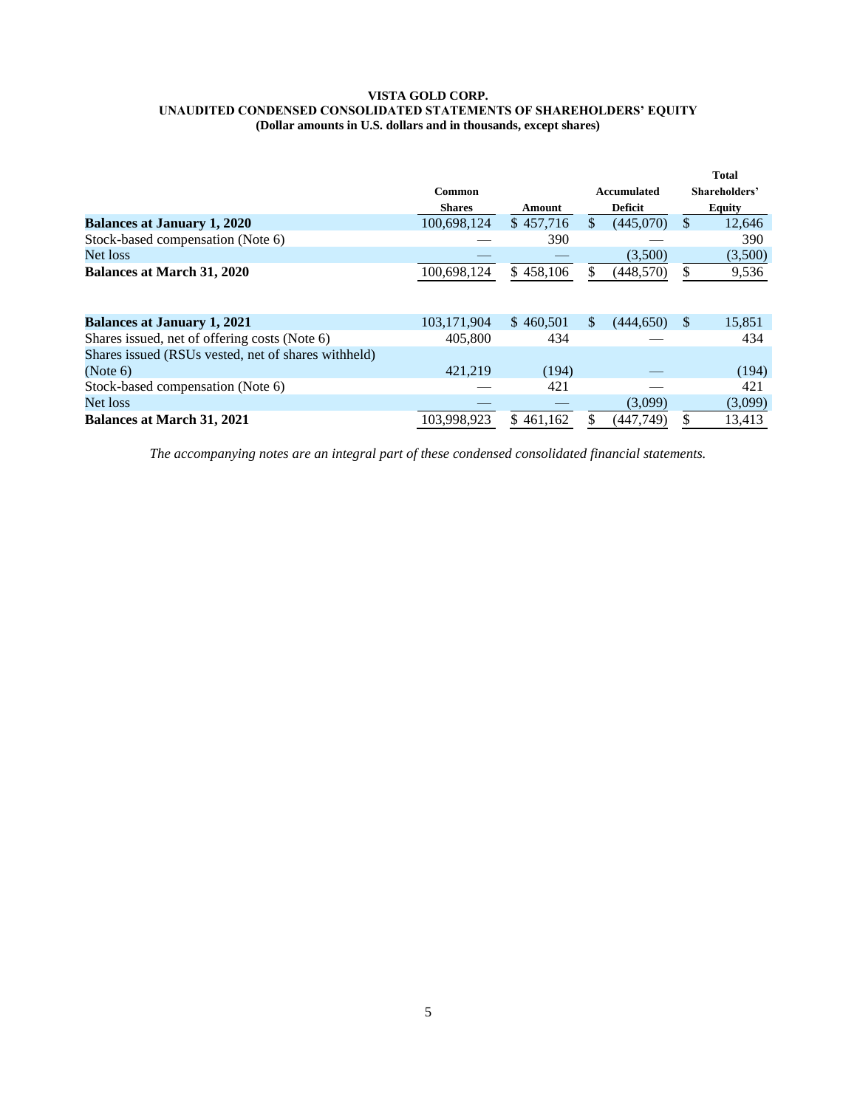#### **VISTA GOLD CORP. UNAUDITED CONDENSED CONSOLIDATED STATEMENTS OF SHAREHOLDERS' EQUITY (Dollar amounts in U.S. dollars and in thousands, except shares)**

|                                                     |               |           |                 |     | <b>Total</b>  |
|-----------------------------------------------------|---------------|-----------|-----------------|-----|---------------|
|                                                     | Common        |           | Accumulated     |     | Shareholders' |
|                                                     | <b>Shares</b> | Amount    | <b>Deficit</b>  |     | <b>Equity</b> |
| <b>Balances at January 1, 2020</b>                  | 100,698,124   | \$457,716 | (445,070)       | \$  | 12,646        |
| Stock-based compensation (Note 6)                   |               | 390       |                 |     | 390           |
| Net loss                                            |               |           | (3,500)         |     | (3,500)       |
| <b>Balances at March 31, 2020</b>                   | 100,698,124   | \$458,106 | (448, 570)      | \$  | 9,536         |
|                                                     |               |           |                 |     |               |
| <b>Balances at January 1, 2021</b>                  | 103,171,904   | \$460,501 | \$<br>(444.650) | \$. | 15,851        |
| Shares issued, net of offering costs (Note 6)       | 405,800       | 434       |                 |     | 434           |
| Shares issued (RSUs vested, net of shares withheld) |               |           |                 |     |               |
| (Note 6)                                            | 421,219       | (194)     |                 |     | (194)         |
| Stock-based compensation (Note 6)                   |               | 421       |                 |     | 421           |
| Net loss                                            |               |           | (3,099)         |     | (3,099)       |
| <b>Balances at March 31, 2021</b>                   | 103.998.923   | \$461.162 | (447,749)       |     | 13,413        |

*The accompanying notes are an integral part of these condensed consolidated financial statements.*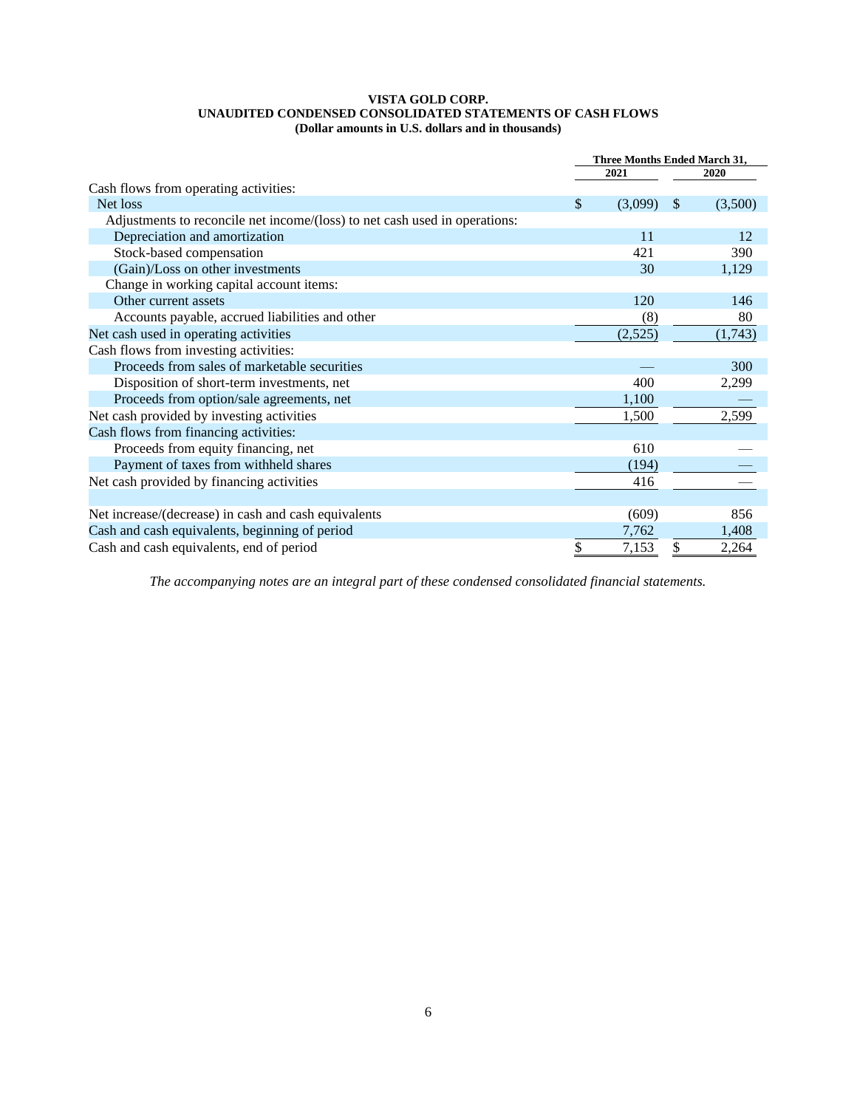### **VISTA GOLD CORP. UNAUDITED CONDENSED CONSOLIDATED STATEMENTS OF CASH FLOWS (Dollar amounts in U.S. dollars and in thousands)**

|                                                                            | Three Months Ended March 31, |         |    |         |
|----------------------------------------------------------------------------|------------------------------|---------|----|---------|
|                                                                            |                              | 2021    |    | 2020    |
| Cash flows from operating activities:                                      |                              |         |    |         |
| Net loss                                                                   | \$                           | (3,099) | S  | (3,500) |
| Adjustments to reconcile net income/(loss) to net cash used in operations: |                              |         |    |         |
| Depreciation and amortization                                              |                              | 11      |    | 12      |
| Stock-based compensation                                                   |                              | 421     |    | 390     |
| (Gain)/Loss on other investments                                           |                              | 30      |    | 1,129   |
| Change in working capital account items:                                   |                              |         |    |         |
| Other current assets                                                       |                              | 120     |    | 146     |
| Accounts payable, accrued liabilities and other                            |                              | (8)     |    | 80      |
| Net cash used in operating activities                                      |                              | (2,525) |    | (1,743) |
| Cash flows from investing activities:                                      |                              |         |    |         |
| Proceeds from sales of marketable securities                               |                              |         |    | 300     |
| Disposition of short-term investments, net                                 |                              | 400     |    | 2,299   |
| Proceeds from option/sale agreements, net                                  |                              | 1,100   |    |         |
| Net cash provided by investing activities                                  |                              | 1,500   |    | 2,599   |
| Cash flows from financing activities:                                      |                              |         |    |         |
| Proceeds from equity financing, net                                        |                              | 610     |    |         |
| Payment of taxes from withheld shares                                      |                              | (194)   |    |         |
| Net cash provided by financing activities                                  |                              | 416     |    |         |
|                                                                            |                              |         |    |         |
| Net increase/(decrease) in cash and cash equivalents                       |                              | (609)   |    | 856     |
| Cash and cash equivalents, beginning of period                             |                              | 7,762   |    | 1,408   |
| Cash and cash equivalents, end of period                                   | \$                           | 7,153   | \$ | 2,264   |

*The accompanying notes are an integral part of these condensed consolidated financial statements.*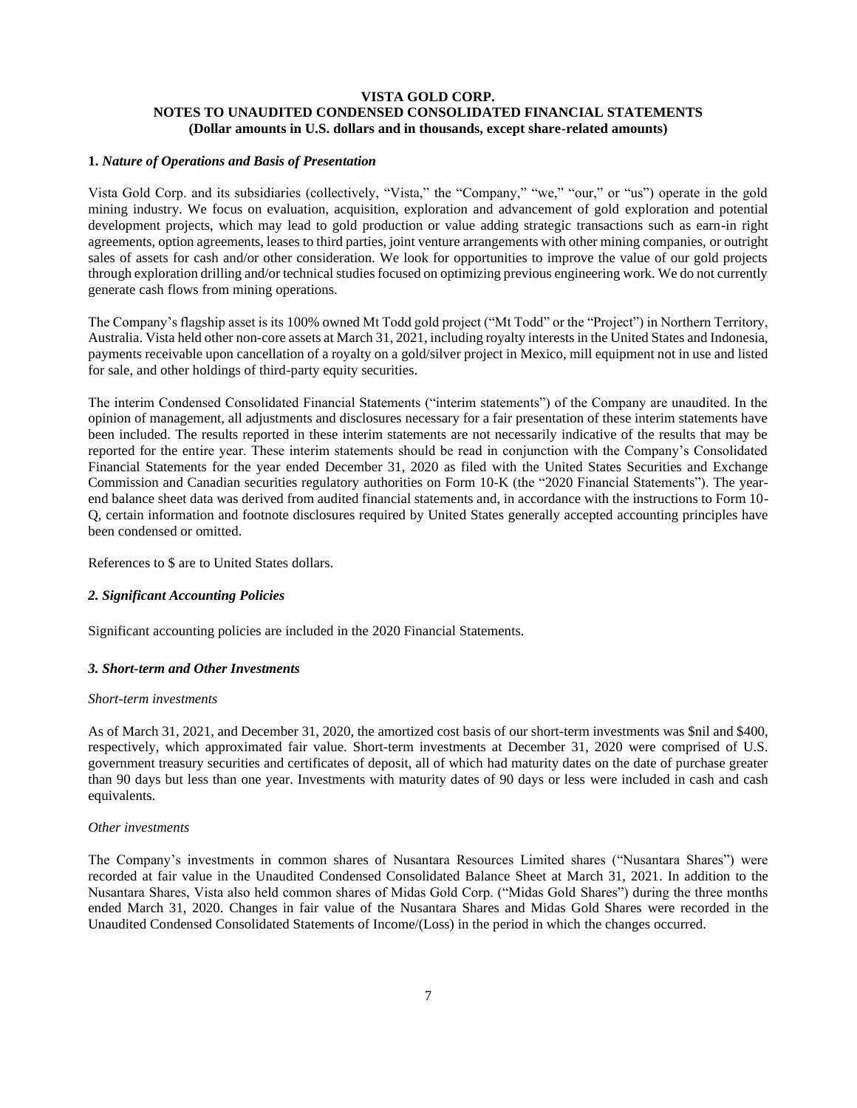### **VISTA GOLD CORP. NOTES TO UNAUDITED CONDENSED CONSOLIDATED FINANCIAL STATEMENTS (Dollar amounts in U.S. dollars and in thousands, except share-related amounts)**

### **1.** *Nature of Operations and Basis of Presentation*

Vista Gold Corp. and its subsidiaries (collectively, "Vista," the "Company," "we," "our," or "us") operate in the gold mining industry. We focus on evaluation, acquisition, exploration and advancement of gold exploration and potential development projects, which may lead to gold production or value adding strategic transactions such as earn-in right agreements, option agreements, leases to third parties, joint venture arrangements with other mining companies, or outright sales of assets for cash and/or other consideration. We look for opportunities to improve the value of our gold projects through exploration drilling and/or technical studies focused on optimizing previous engineering work. We do not currently generate cash flows from mining operations.

The Company's flagship asset is its 100% owned Mt Todd gold project ("Mt Todd" or the "Project") in Northern Territory, Australia. Vista held other non-core assets at March 31, 2021, including royalty interests in the United States and Indonesia, payments receivable upon cancellation of a royalty on a gold/silver project in Mexico, mill equipment not in use and listed for sale, and other holdings of third-party equity securities.

The interim Condensed Consolidated Financial Statements ("interim statements") of the Company are unaudited. In the opinion of management, all adjustments and disclosures necessary for a fair presentation of these interim statements have been included. The results reported in these interim statements are not necessarily indicative of the results that may be reported for the entire year. These interim statements should be read in conjunction with the Company's Consolidated Financial Statements for the year ended December 31, 2020 as filed with the United States Securities and Exchange Commission and Canadian securities regulatory authorities on Form 10-K (the "2020 Financial Statements"). The yearend balance sheet data was derived from audited financial statements and, in accordance with the instructions to Form 10- Q, certain information and footnote disclosures required by United States generally accepted accounting principles have been condensed or omitted.

References to \$ are to United States dollars.

### *2. Significant Accounting Policies*

Significant accounting policies are included in the 2020 Financial Statements.

### *3. Short-term and Other Investments*

#### *Short-term investments*

As of March 31, 2021, and December 31, 2020, the amortized cost basis of our short-term investments was \$nil and \$400, respectively, which approximated fair value. Short-term investments at December 31, 2020 were comprised of U.S. government treasury securities and certificates of deposit, all of which had maturity dates on the date of purchase greater than 90 days but less than one year. Investments with maturity dates of 90 days or less were included in cash and cash equivalents.

#### *Other investments*

The Company's investments in common shares of Nusantara Resources Limited shares ("Nusantara Shares") were recorded at fair value in the Unaudited Condensed Consolidated Balance Sheet at March 31, 2021. In addition to the Nusantara Shares, Vista also held common shares of Midas Gold Corp. ("Midas Gold Shares") during the three months ended March 31, 2020. Changes in fair value of the Nusantara Shares and Midas Gold Shares were recorded in the Unaudited Condensed Consolidated Statements of Income/(Loss) in the period in which the changes occurred.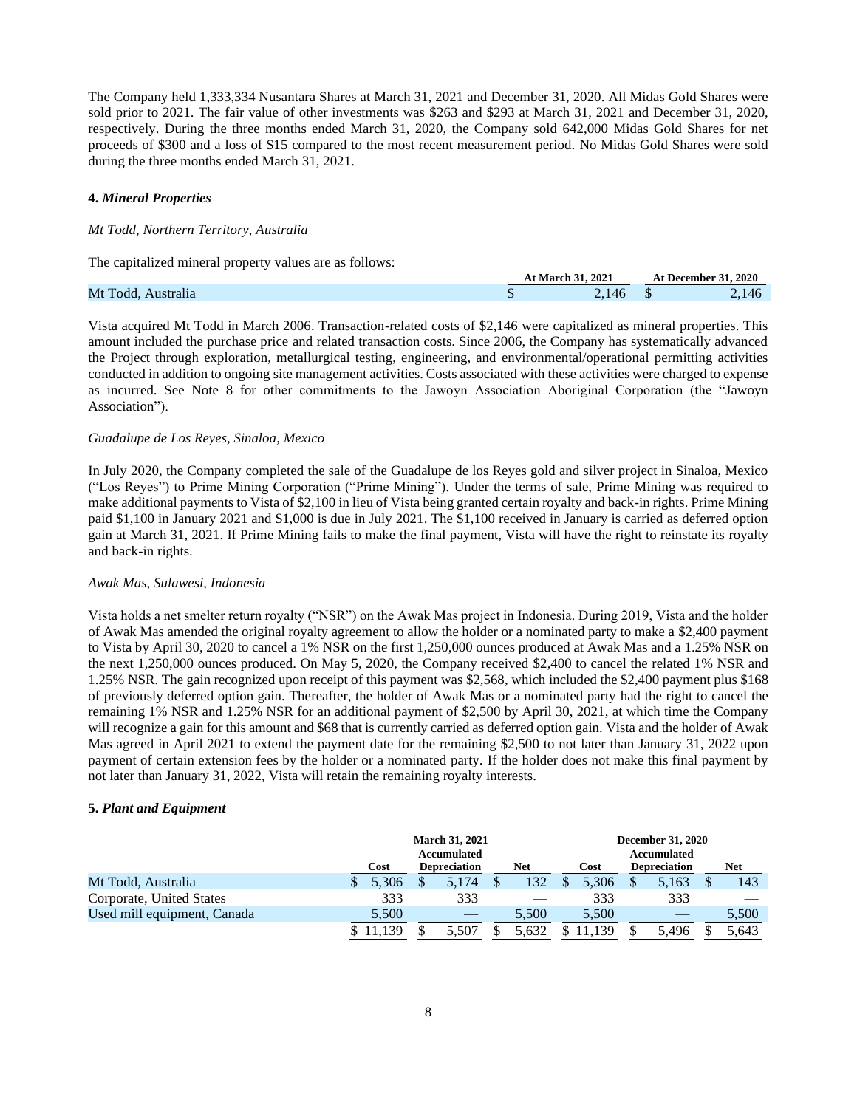The Company held 1,333,334 Nusantara Shares at March 31, 2021 and December 31, 2020. All Midas Gold Shares were sold prior to 2021. The fair value of other investments was \$263 and \$293 at March 31, 2021 and December 31, 2020, respectively. During the three months ended March 31, 2020, the Company sold 642,000 Midas Gold Shares for net proceeds of \$300 and a loss of \$15 compared to the most recent measurement period. No Midas Gold Shares were sold during the three months ended March 31, 2021.

### **4.** *Mineral Properties*

### *Mt Todd, Northern Territory, Australia*

The capitalized mineral property values are as follows:

|                    | At March 31, 2021 |  | <b>At December 31, 2020</b> |
|--------------------|-------------------|--|-----------------------------|
| Mt Todd, Australia |                   |  | -146                        |

Vista acquired Mt Todd in March 2006. Transaction-related costs of \$2,146 were capitalized as mineral properties. This amount included the purchase price and related transaction costs. Since 2006, the Company has systematically advanced the Project through exploration, metallurgical testing, engineering, and environmental/operational permitting activities conducted in addition to ongoing site management activities. Costs associated with these activities were charged to expense as incurred. See Note 8 for other commitments to the Jawoyn Association Aboriginal Corporation (the "Jawoyn Association").

#### *Guadalupe de Los Reyes, Sinaloa, Mexico*

In July 2020, the Company completed the sale of the Guadalupe de los Reyes gold and silver project in Sinaloa, Mexico ("Los Reyes") to Prime Mining Corporation ("Prime Mining"). Under the terms of sale, Prime Mining was required to make additional payments to Vista of \$2,100 in lieu of Vista being granted certain royalty and back-in rights. Prime Mining paid \$1,100 in January 2021 and \$1,000 is due in July 2021. The \$1,100 received in January is carried as deferred option gain at March 31, 2021. If Prime Mining fails to make the final payment, Vista will have the right to reinstate its royalty and back-in rights.

#### *Awak Mas, Sulawesi, Indonesia*

Vista holds a net smelter return royalty ("NSR") on the Awak Mas project in Indonesia. During 2019, Vista and the holder of Awak Mas amended the original royalty agreement to allow the holder or a nominated party to make a \$2,400 payment to Vista by April 30, 2020 to cancel a 1% NSR on the first 1,250,000 ounces produced at Awak Mas and a 1.25% NSR on the next 1,250,000 ounces produced. On May 5, 2020, the Company received \$2,400 to cancel the related 1% NSR and 1.25% NSR. The gain recognized upon receipt of this payment was \$2,568, which included the \$2,400 payment plus \$168 of previously deferred option gain. Thereafter, the holder of Awak Mas or a nominated party had the right to cancel the remaining 1% NSR and 1.25% NSR for an additional payment of \$2,500 by April 30, 2021, at which time the Company will recognize a gain for this amount and \$68 that is currently carried as deferred option gain. Vista and the holder of Awak Mas agreed in April 2021 to extend the payment date for the remaining \$2,500 to not later than January 31, 2022 upon payment of certain extension fees by the holder or a nominated party. If the holder does not make this final payment by not later than January 31, 2022, Vista will retain the remaining royalty interests.

### **5.** *Plant and Equipment*

|                             |       | <b>March 31, 2021</b> |       |       | <b>December 31, 2020</b> |       |
|-----------------------------|-------|-----------------------|-------|-------|--------------------------|-------|
|                             |       | Accumulated           |       |       | Accumulated              |       |
|                             | Cost  | <b>Depreciation</b>   | Net   | Cost  | <b>Depreciation</b>      | Net   |
| Mt Todd, Australia          | 5.306 | 5.174                 | 132   | 5.306 | 5,163                    | 143   |
| Corporate, United States    | 333   | 333                   |       | 333   | 333                      |       |
| Used mill equipment, Canada | 5,500 |                       | 5.500 | 5.500 |                          | 5,500 |
|                             |       | 5.507                 | 5.632 |       | 5.496                    | 5.643 |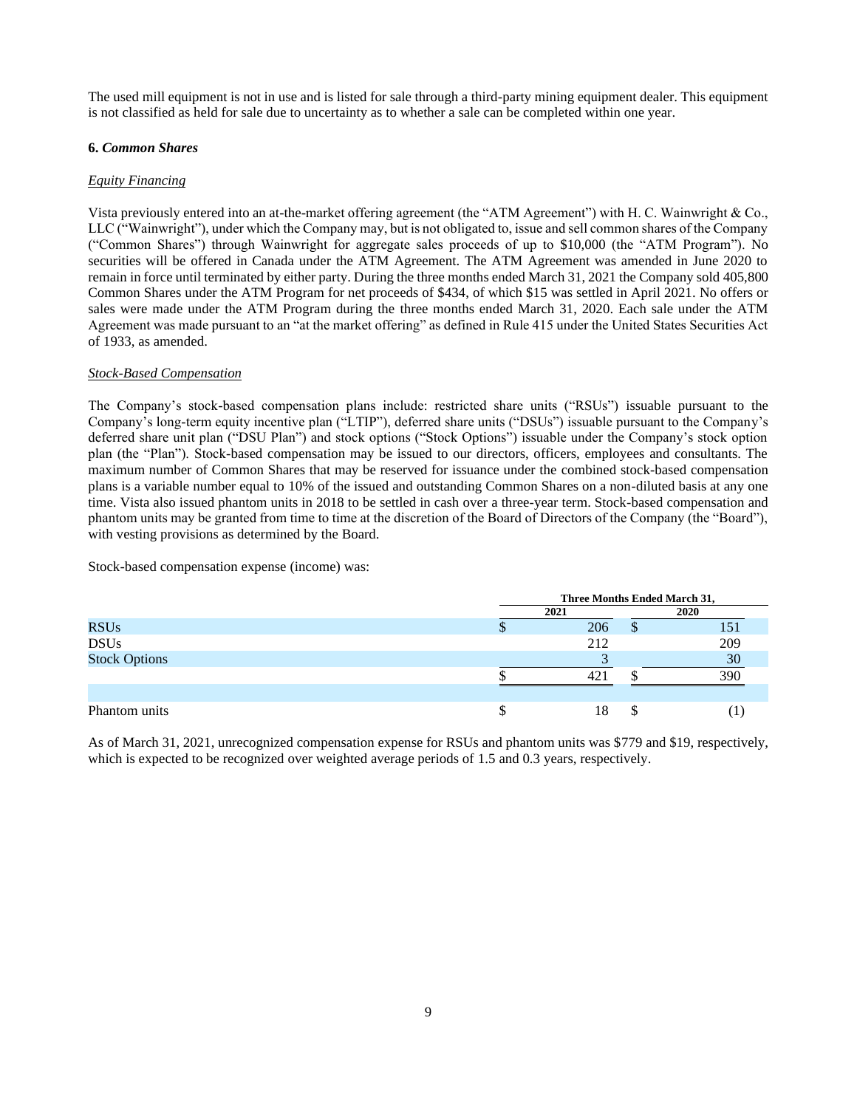The used mill equipment is not in use and is listed for sale through a third-party mining equipment dealer. This equipment is not classified as held for sale due to uncertainty as to whether a sale can be completed within one year.

### **6.** *Common Shares*

### *Equity Financing*

Vista previously entered into an at-the-market offering agreement (the "ATM Agreement") with H. C. Wainwright & Co., LLC ("Wainwright"), under which the Company may, but is not obligated to, issue and sell common shares of the Company ("Common Shares") through Wainwright for aggregate sales proceeds of up to \$10,000 (the "ATM Program"). No securities will be offered in Canada under the ATM Agreement. The ATM Agreement was amended in June 2020 to remain in force until terminated by either party. During the three months ended March 31, 2021 the Company sold 405,800 Common Shares under the ATM Program for net proceeds of \$434, of which \$15 was settled in April 2021. No offers or sales were made under the ATM Program during the three months ended March 31, 2020. Each sale under the ATM Agreement was made pursuant to an "at the market offering" as defined in Rule 415 under the United States Securities Act of 1933, as amended.

### *Stock-Based Compensation*

The Company's stock-based compensation plans include: restricted share units ("RSUs") issuable pursuant to the Company's long-term equity incentive plan ("LTIP"), deferred share units ("DSUs") issuable pursuant to the Company's deferred share unit plan ("DSU Plan") and stock options ("Stock Options") issuable under the Company's stock option plan (the "Plan"). Stock-based compensation may be issued to our directors, officers, employees and consultants. The maximum number of Common Shares that may be reserved for issuance under the combined stock-based compensation plans is a variable number equal to 10% of the issued and outstanding Common Shares on a non-diluted basis at any one time. Vista also issued phantom units in 2018 to be settled in cash over a three-year term. Stock-based compensation and phantom units may be granted from time to time at the discretion of the Board of Directors of the Company (the "Board"), with vesting provisions as determined by the Board.

Stock-based compensation expense (income) was:

|                      | Three Months Ended March 31, |    |      |  |
|----------------------|------------------------------|----|------|--|
|                      | 2021                         |    | 2020 |  |
| <b>RSUs</b>          | 206                          | ۰D | 151  |  |
| <b>DSUs</b>          | 212                          |    | 209  |  |
| <b>Stock Options</b> |                              |    | 30   |  |
|                      | 421                          |    | 390  |  |
|                      |                              |    |      |  |
| Phantom units        | 18                           |    |      |  |

As of March 31, 2021, unrecognized compensation expense for RSUs and phantom units was \$779 and \$19, respectively, which is expected to be recognized over weighted average periods of 1.5 and 0.3 years, respectively.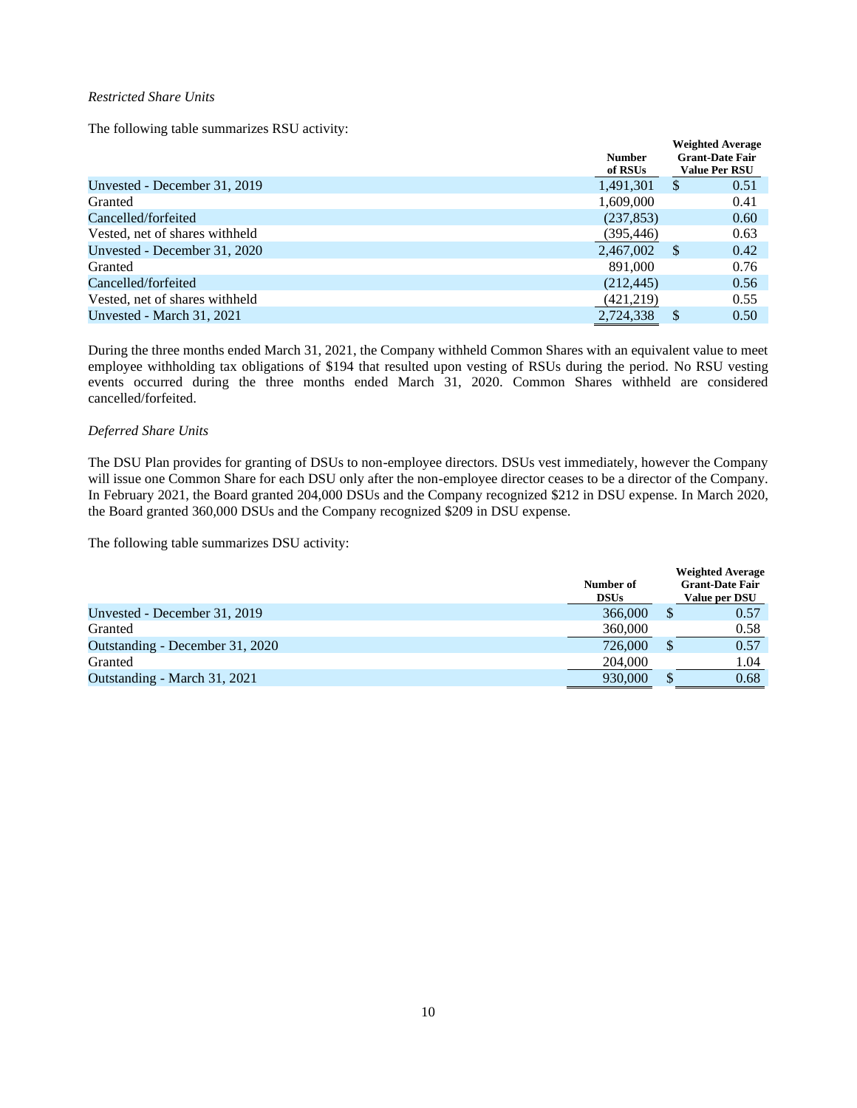### *Restricted Share Units*

The following table summarizes RSU activity:

|                                | <b>Number</b><br>of RSUs |              | <b>Weighted Average</b><br><b>Grant-Date Fair</b><br><b>Value Per RSU</b> |
|--------------------------------|--------------------------|--------------|---------------------------------------------------------------------------|
| Unvested - December 31, 2019   | 1,491,301                | <sup>S</sup> | 0.51                                                                      |
| Granted                        | 1,609,000                |              | 0.41                                                                      |
| Cancelled/forfeited            | (237, 853)               |              | 0.60                                                                      |
| Vested, net of shares withheld | (395, 446)               |              | 0.63                                                                      |
| Unvested - December 31, 2020   | 2,467,002                | -S           | 0.42                                                                      |
| Granted                        | 891,000                  |              | 0.76                                                                      |
| Cancelled/forfeited            | (212, 445)               |              | 0.56                                                                      |
| Vested, net of shares withheld | (421, 219)               |              | 0.55                                                                      |
| Unvested - March 31, 2021      | 2,724,338                |              | 0.50                                                                      |

During the three months ended March 31, 2021, the Company withheld Common Shares with an equivalent value to meet employee withholding tax obligations of \$194 that resulted upon vesting of RSUs during the period. No RSU vesting events occurred during the three months ended March 31, 2020. Common Shares withheld are considered cancelled/forfeited.

### *Deferred Share Units*

The DSU Plan provides for granting of DSUs to non-employee directors. DSUs vest immediately, however the Company will issue one Common Share for each DSU only after the non-employee director ceases to be a director of the Company. In February 2021, the Board granted 204,000 DSUs and the Company recognized \$212 in DSU expense. In March 2020, the Board granted 360,000 DSUs and the Company recognized \$209 in DSU expense.

The following table summarizes DSU activity:

|                                 | Number of<br><b>DSUs</b> | <b>Weighted Average</b><br><b>Grant-Date Fair</b><br>Value per DSU |
|---------------------------------|--------------------------|--------------------------------------------------------------------|
| Unvested - December 31, 2019    | 366,000                  | 0.57                                                               |
| Granted                         | 360,000                  | 0.58                                                               |
| Outstanding - December 31, 2020 | 726,000                  | 0.57                                                               |
| Granted                         | 204,000                  | 1.04                                                               |
| Outstanding - March 31, 2021    | 930,000                  | 0.68                                                               |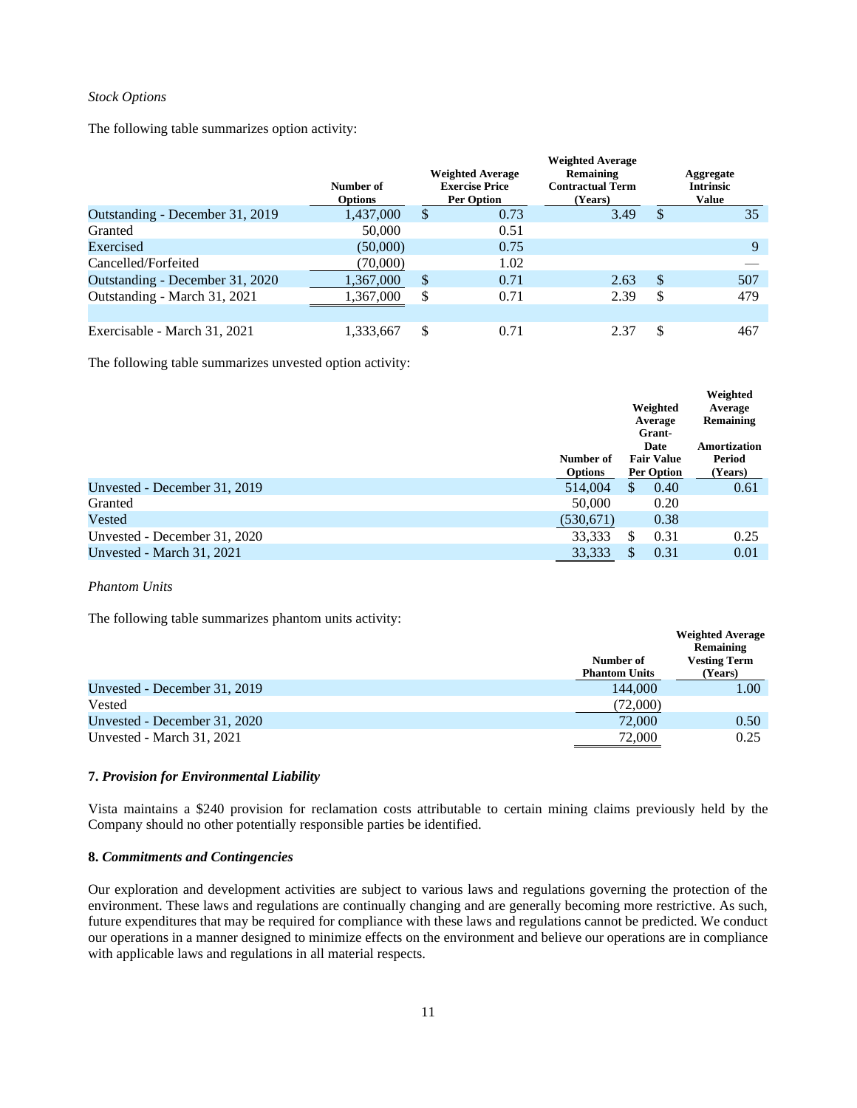### *Stock Options*

The following table summarizes option activity:

|                                 | Number of<br><b>Options</b> |    | <b>Weighted Average</b><br><b>Exercise Price</b><br><b>Per Option</b> | <b>Weighted Average</b><br>Remaining<br><b>Contractual Term</b><br>(Years) |    | Aggregate<br><b>Intrinsic</b><br>Value |
|---------------------------------|-----------------------------|----|-----------------------------------------------------------------------|----------------------------------------------------------------------------|----|----------------------------------------|
| Outstanding - December 31, 2019 | 1,437,000                   | \$ | 0.73                                                                  | 3.49                                                                       | \$ | 35                                     |
| Granted                         | 50,000                      |    | 0.51                                                                  |                                                                            |    |                                        |
| Exercised                       | (50,000)                    |    | 0.75                                                                  |                                                                            |    | $\mathbf Q$                            |
| Cancelled/Forfeited             | (70,000)                    |    | 1.02                                                                  |                                                                            |    |                                        |
| Outstanding - December 31, 2020 | 1,367,000                   | \$ | 0.71                                                                  | 2.63                                                                       | S  | 507                                    |
| Outstanding - March 31, 2021    | 1,367,000                   | Ф  | 0.71                                                                  | 2.39                                                                       | \$ | 479                                    |
|                                 |                             |    |                                                                       |                                                                            |    |                                        |
| Exercisable - March 31, 2021    | 1,333,667                   | \$ | 0.71                                                                  | 2.37                                                                       | \$ | 467                                    |

The following table summarizes unvested option activity:

|                              |                |                   | Weighted         |  |
|------------------------------|----------------|-------------------|------------------|--|
|                              |                | Weighted          | Average          |  |
|                              |                | Average           | <b>Remaining</b> |  |
|                              |                | Grant-            |                  |  |
|                              |                | Date              | Amortization     |  |
|                              | Number of      | <b>Fair Value</b> | Period           |  |
|                              | <b>Options</b> | <b>Per Option</b> | (Years)          |  |
| Unvested - December 31, 2019 | 514,004        | \$<br>0.40        | 0.61             |  |
| Granted                      | 50,000         | 0.20              |                  |  |
| Vested                       | (530, 671)     | 0.38              |                  |  |
| Unvested - December 31, 2020 | 33,333         | 0.31<br>S         | 0.25             |  |
| Unvested - March 31, 2021    | 33.333         | S<br>0.31         | 0.01             |  |

#### *Phantom Units*

The following table summarizes phantom units activity:

|                              | Number of<br><b>Phantom Units</b> | <b>Weighted Average</b><br>Remaining<br><b>Vesting Term</b><br>(Years) |
|------------------------------|-----------------------------------|------------------------------------------------------------------------|
| Unvested - December 31, 2019 | 144,000                           | 1.00                                                                   |
| Vested                       | (72,000)                          |                                                                        |
| Unvested - December 31, 2020 | 72,000                            | 0.50                                                                   |
| Unvested - March 31, 2021    | 72,000                            | 0.25                                                                   |

# **7.** *Provision for Environmental Liability*

Vista maintains a \$240 provision for reclamation costs attributable to certain mining claims previously held by the Company should no other potentially responsible parties be identified.

#### **8.** *Commitments and Contingencies*

Our exploration and development activities are subject to various laws and regulations governing the protection of the environment. These laws and regulations are continually changing and are generally becoming more restrictive. As such, future expenditures that may be required for compliance with these laws and regulations cannot be predicted. We conduct our operations in a manner designed to minimize effects on the environment and believe our operations are in compliance with applicable laws and regulations in all material respects.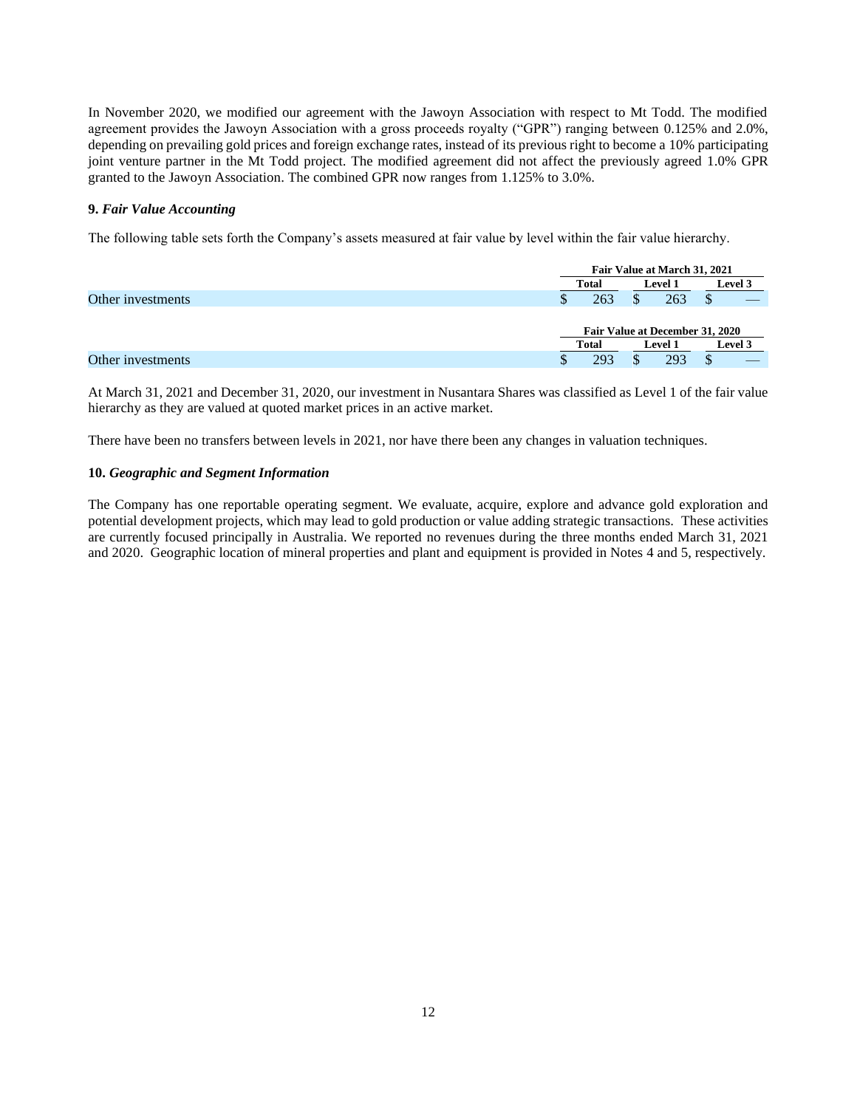In November 2020, we modified our agreement with the Jawoyn Association with respect to Mt Todd. The modified agreement provides the Jawoyn Association with a gross proceeds royalty ("GPR") ranging between 0.125% and 2.0%, depending on prevailing gold prices and foreign exchange rates, instead of its previous right to become a 10% participating joint venture partner in the Mt Todd project. The modified agreement did not affect the previously agreed 1.0% GPR granted to the Jawoyn Association. The combined GPR now ranges from 1.125% to 3.0%.

### **9.** *Fair Value Accounting*

The following table sets forth the Company's assets measured at fair value by level within the fair value hierarchy.

|                   |    | Fair Value at March 31, 2021                     |  |                |  |                |  |
|-------------------|----|--------------------------------------------------|--|----------------|--|----------------|--|
|                   |    | Total                                            |  | <b>Level 1</b> |  | <b>Level 3</b> |  |
| Other investments | J. | 263                                              |  | 263            |  |                |  |
|                   |    |                                                  |  |                |  |                |  |
|                   |    | Fair Value at December 31, 2020                  |  |                |  |                |  |
|                   |    | <b>Total</b><br><b>Level 3</b><br><b>Level 1</b> |  |                |  |                |  |
| Other investments | J. | 293                                              |  | 293            |  |                |  |

At March 31, 2021 and December 31, 2020, our investment in Nusantara Shares was classified as Level 1 of the fair value hierarchy as they are valued at quoted market prices in an active market.

There have been no transfers between levels in 2021, nor have there been any changes in valuation techniques.

#### **10.** *Geographic and Segment Information*

The Company has one reportable operating segment. We evaluate, acquire, explore and advance gold exploration and potential development projects, which may lead to gold production or value adding strategic transactions. These activities are currently focused principally in Australia. We reported no revenues during the three months ended March 31, 2021 and 2020. Geographic location of mineral properties and plant and equipment is provided in Notes 4 and 5, respectively.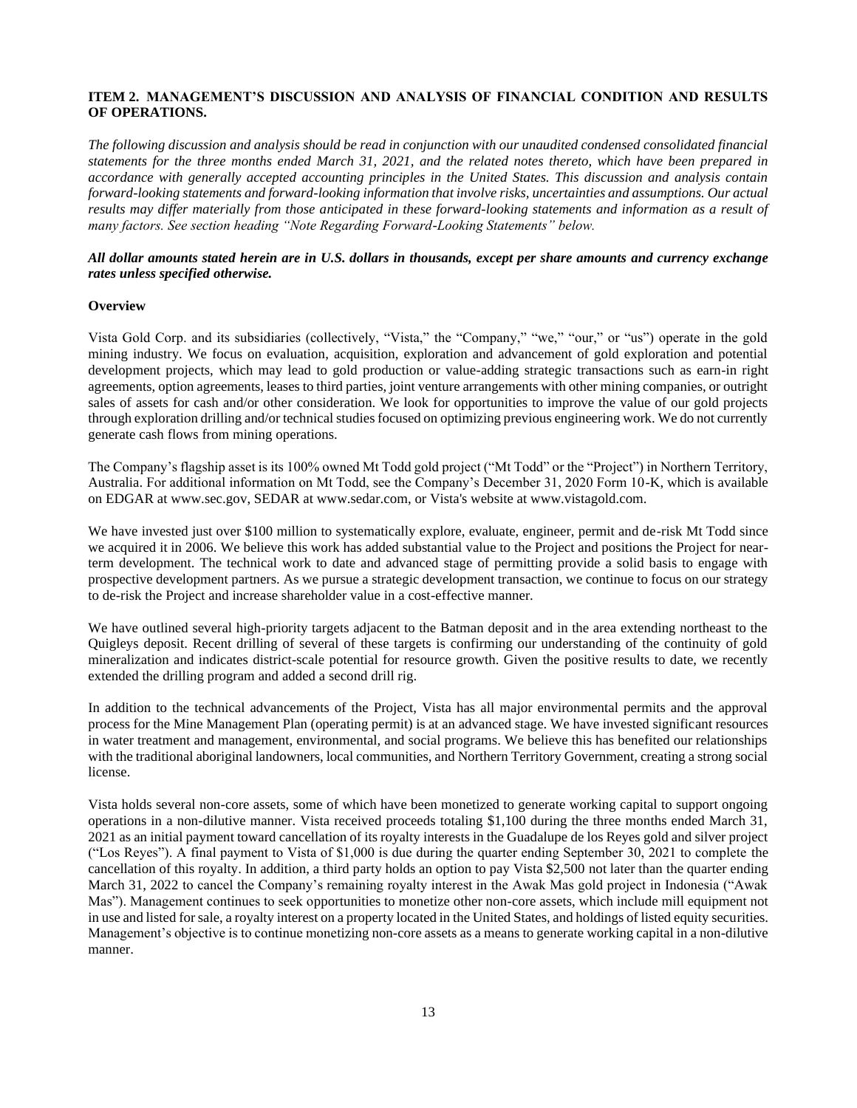### <span id="page-12-0"></span>**ITEM 2. MANAGEMENT'S DISCUSSION AND ANALYSIS OF FINANCIAL CONDITION AND RESULTS OF OPERATIONS.**

*The following discussion and analysis should be read in conjunction with our unaudited condensed consolidated financial statements for the three months ended March 31, 2021, and the related notes thereto, which have been prepared in accordance with generally accepted accounting principles in the United States. This discussion and analysis contain forward-looking statements and forward-looking information that involve risks, uncertainties and assumptions. Our actual*  results may differ materially from those anticipated in these forward-looking statements and information as a result of *many factors. See section heading "Note Regarding Forward-Looking Statements" below.*

### *All dollar amounts stated herein are in U.S. dollars in thousands, except per share amounts and currency exchange rates unless specified otherwise.*

#### **Overview**

Vista Gold Corp. and its subsidiaries (collectively, "Vista," the "Company," "we," "our," or "us") operate in the gold mining industry. We focus on evaluation, acquisition, exploration and advancement of gold exploration and potential development projects, which may lead to gold production or value-adding strategic transactions such as earn-in right agreements, option agreements, leases to third parties, joint venture arrangements with other mining companies, or outright sales of assets for cash and/or other consideration. We look for opportunities to improve the value of our gold projects through exploration drilling and/or technical studies focused on optimizing previous engineering work. We do not currently generate cash flows from mining operations.

The Company's flagship asset is its 100% owned Mt Todd gold project ("Mt Todd" or the "Project") in Northern Territory, Australia. For additional information on Mt Todd, see the Company's December 31, 2020 Form 10-K, which is available on EDGAR at www.sec.gov, SEDAR at www.sedar.com, or Vista's website at www.vistagold.com.

We have invested just over \$100 million to systematically explore, evaluate, engineer, permit and de-risk Mt Todd since we acquired it in 2006. We believe this work has added substantial value to the Project and positions the Project for nearterm development. The technical work to date and advanced stage of permitting provide a solid basis to engage with prospective development partners. As we pursue a strategic development transaction, we continue to focus on our strategy to de-risk the Project and increase shareholder value in a cost-effective manner.

We have outlined several high-priority targets adjacent to the Batman deposit and in the area extending northeast to the Quigleys deposit. Recent drilling of several of these targets is confirming our understanding of the continuity of gold mineralization and indicates district-scale potential for resource growth. Given the positive results to date, we recently extended the drilling program and added a second drill rig.

In addition to the technical advancements of the Project, Vista has all major environmental permits and the approval process for the Mine Management Plan (operating permit) is at an advanced stage. We have invested significant resources in water treatment and management, environmental, and social programs. We believe this has benefited our relationships with the traditional aboriginal landowners, local communities, and Northern Territory Government, creating a strong social license.

Vista holds several non-core assets, some of which have been monetized to generate working capital to support ongoing operations in a non-dilutive manner. Vista received proceeds totaling \$1,100 during the three months ended March 31, 2021 as an initial payment toward cancellation of its royalty interests in the Guadalupe de los Reyes gold and silver project ("Los Reyes"). A final payment to Vista of \$1,000 is due during the quarter ending September 30, 2021 to complete the cancellation of this royalty. In addition, a third party holds an option to pay Vista \$2,500 not later than the quarter ending March 31, 2022 to cancel the Company's remaining royalty interest in the Awak Mas gold project in Indonesia ("Awak Mas"). Management continues to seek opportunities to monetize other non-core assets, which include mill equipment not in use and listed for sale, a royalty interest on a property located in the United States, and holdings of listed equity securities. Management's objective is to continue monetizing non-core assets as a means to generate working capital in a non-dilutive manner.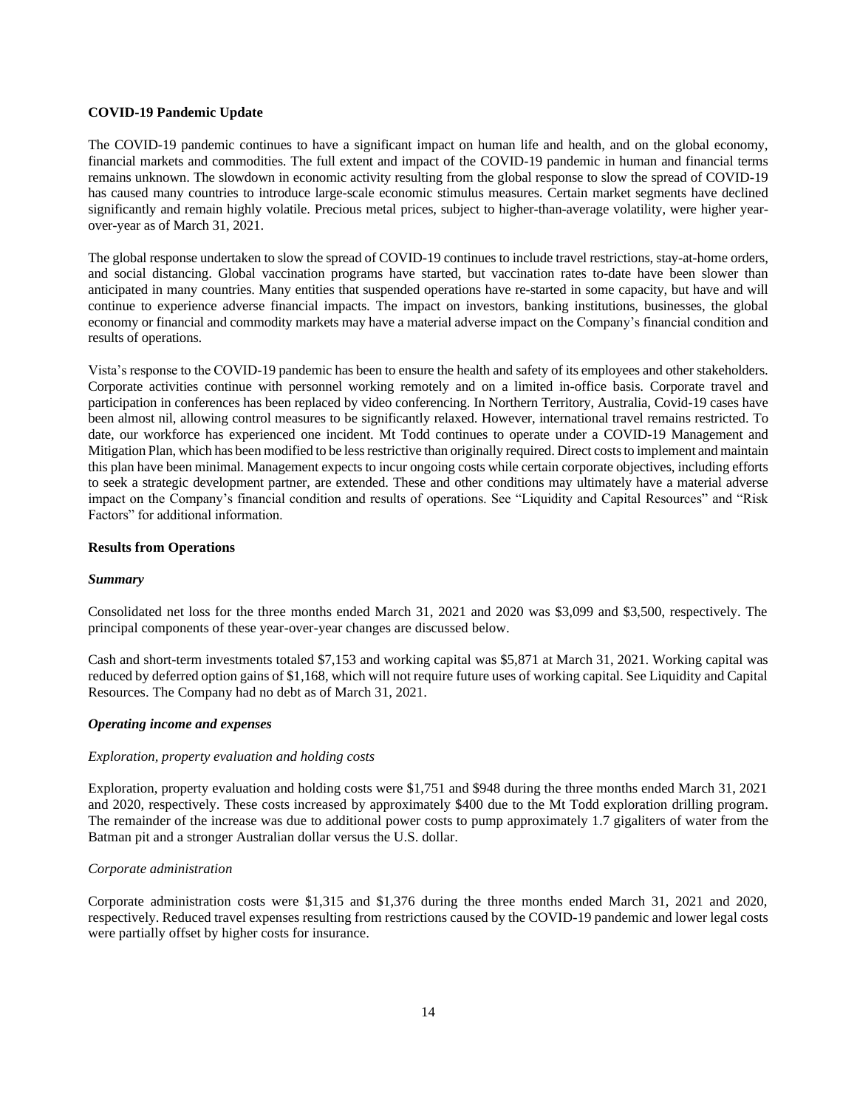#### **COVID-19 Pandemic Update**

The COVID-19 pandemic continues to have a significant impact on human life and health, and on the global economy, financial markets and commodities. The full extent and impact of the COVID-19 pandemic in human and financial terms remains unknown. The slowdown in economic activity resulting from the global response to slow the spread of COVID-19 has caused many countries to introduce large-scale economic stimulus measures. Certain market segments have declined significantly and remain highly volatile. Precious metal prices, subject to higher-than-average volatility, were higher yearover-year as of March 31, 2021.

The global response undertaken to slow the spread of COVID-19 continues to include travel restrictions, stay-at-home orders, and social distancing. Global vaccination programs have started, but vaccination rates to-date have been slower than anticipated in many countries. Many entities that suspended operations have re-started in some capacity, but have and will continue to experience adverse financial impacts. The impact on investors, banking institutions, businesses, the global economy or financial and commodity markets may have a material adverse impact on the Company's financial condition and results of operations.

Vista's response to the COVID-19 pandemic has been to ensure the health and safety of its employees and other stakeholders. Corporate activities continue with personnel working remotely and on a limited in-office basis. Corporate travel and participation in conferences has been replaced by video conferencing. In Northern Territory, Australia, Covid-19 cases have been almost nil, allowing control measures to be significantly relaxed. However, international travel remains restricted. To date, our workforce has experienced one incident. Mt Todd continues to operate under a COVID-19 Management and Mitigation Plan, which has been modified to be less restrictive than originally required. Direct costs to implement and maintain this plan have been minimal. Management expects to incur ongoing costs while certain corporate objectives, including efforts to seek a strategic development partner, are extended. These and other conditions may ultimately have a material adverse impact on the Company's financial condition and results of operations. See "Liquidity and Capital Resources" and "Risk Factors" for additional information.

### **Results from Operations**

#### *Summary*

Consolidated net loss for the three months ended March 31, 2021 and 2020 was \$3,099 and \$3,500, respectively. The principal components of these year-over-year changes are discussed below.

Cash and short-term investments totaled \$7,153 and working capital was \$5,871 at March 31, 2021. Working capital was reduced by deferred option gains of \$1,168, which will not require future uses of working capital. See Liquidity and Capital Resources. The Company had no debt as of March 31, 2021.

#### *Operating income and expenses*

#### *Exploration, property evaluation and holding costs*

Exploration, property evaluation and holding costs were \$1,751 and \$948 during the three months ended March 31, 2021 and 2020, respectively. These costs increased by approximately \$400 due to the Mt Todd exploration drilling program. The remainder of the increase was due to additional power costs to pump approximately 1.7 gigaliters of water from the Batman pit and a stronger Australian dollar versus the U.S. dollar.

### *Corporate administration*

Corporate administration costs were \$1,315 and \$1,376 during the three months ended March 31, 2021 and 2020, respectively. Reduced travel expenses resulting from restrictions caused by the COVID-19 pandemic and lower legal costs were partially offset by higher costs for insurance.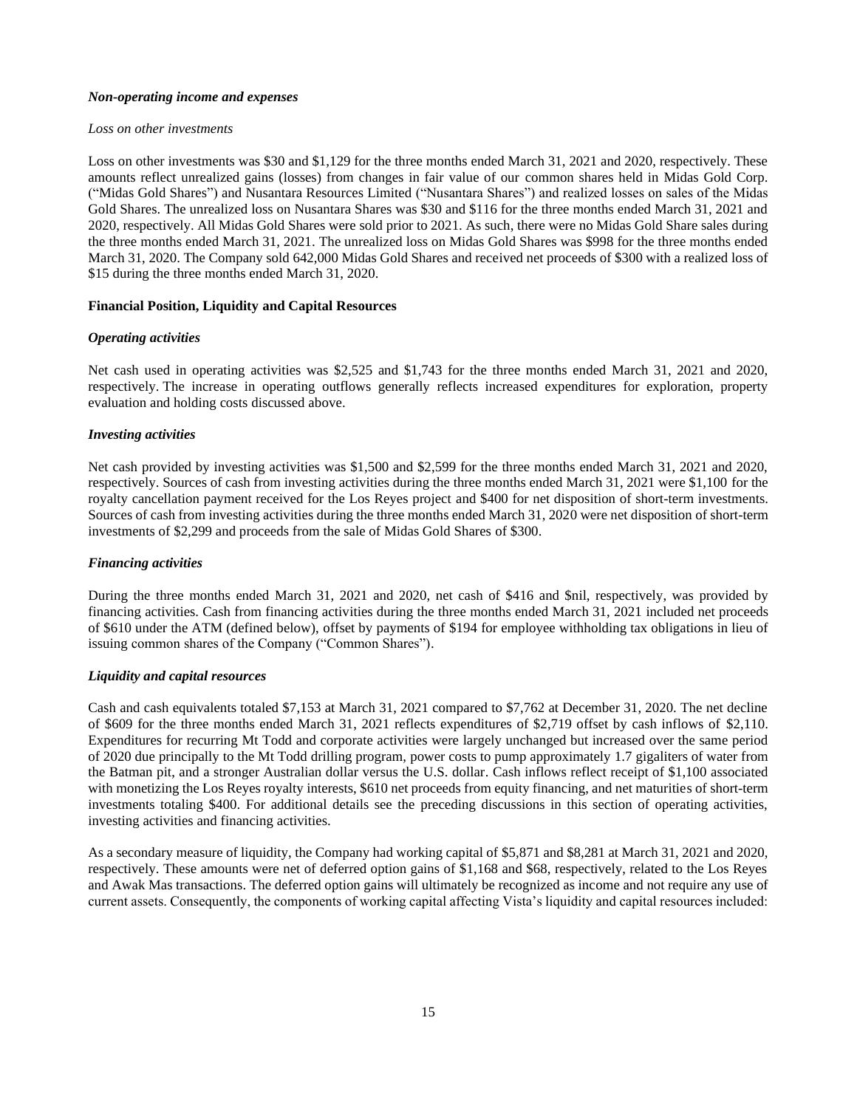#### *Non-operating income and expenses*

### *Loss on other investments*

Loss on other investments was \$30 and \$1,129 for the three months ended March 31, 2021 and 2020, respectively. These amounts reflect unrealized gains (losses) from changes in fair value of our common shares held in Midas Gold Corp. ("Midas Gold Shares") and Nusantara Resources Limited ("Nusantara Shares") and realized losses on sales of the Midas Gold Shares. The unrealized loss on Nusantara Shares was \$30 and \$116 for the three months ended March 31, 2021 and 2020, respectively. All Midas Gold Shares were sold prior to 2021. As such, there were no Midas Gold Share sales during the three months ended March 31, 2021. The unrealized loss on Midas Gold Shares was \$998 for the three months ended March 31, 2020. The Company sold 642,000 Midas Gold Shares and received net proceeds of \$300 with a realized loss of \$15 during the three months ended March 31, 2020.

### **Financial Position, Liquidity and Capital Resources**

### *Operating activities*

Net cash used in operating activities was \$2,525 and \$1,743 for the three months ended March 31, 2021 and 2020, respectively. The increase in operating outflows generally reflects increased expenditures for exploration, property evaluation and holding costs discussed above.

### *Investing activities*

Net cash provided by investing activities was \$1,500 and \$2,599 for the three months ended March 31, 2021 and 2020, respectively. Sources of cash from investing activities during the three months ended March 31, 2021 were \$1,100 for the royalty cancellation payment received for the Los Reyes project and \$400 for net disposition of short-term investments. Sources of cash from investing activities during the three months ended March 31, 2020 were net disposition of short-term investments of \$2,299 and proceeds from the sale of Midas Gold Shares of \$300.

### *Financing activities*

During the three months ended March 31, 2021 and 2020, net cash of \$416 and \$nil, respectively, was provided by financing activities. Cash from financing activities during the three months ended March 31, 2021 included net proceeds of \$610 under the ATM (defined below), offset by payments of \$194 for employee withholding tax obligations in lieu of issuing common shares of the Company ("Common Shares").

### *Liquidity and capital resources*

Cash and cash equivalents totaled \$7,153 at March 31, 2021 compared to \$7,762 at December 31, 2020. The net decline of \$609 for the three months ended March 31, 2021 reflects expenditures of \$2,719 offset by cash inflows of \$2,110. Expenditures for recurring Mt Todd and corporate activities were largely unchanged but increased over the same period of 2020 due principally to the Mt Todd drilling program, power costs to pump approximately 1.7 gigaliters of water from the Batman pit, and a stronger Australian dollar versus the U.S. dollar. Cash inflows reflect receipt of \$1,100 associated with monetizing the Los Reyes royalty interests, \$610 net proceeds from equity financing, and net maturities of short-term investments totaling \$400. For additional details see the preceding discussions in this section of operating activities, investing activities and financing activities.

As a secondary measure of liquidity, the Company had working capital of \$5,871 and \$8,281 at March 31, 2021 and 2020, respectively. These amounts were net of deferred option gains of \$1,168 and \$68, respectively, related to the Los Reyes and Awak Mas transactions. The deferred option gains will ultimately be recognized as income and not require any use of current assets. Consequently, the components of working capital affecting Vista's liquidity and capital resources included: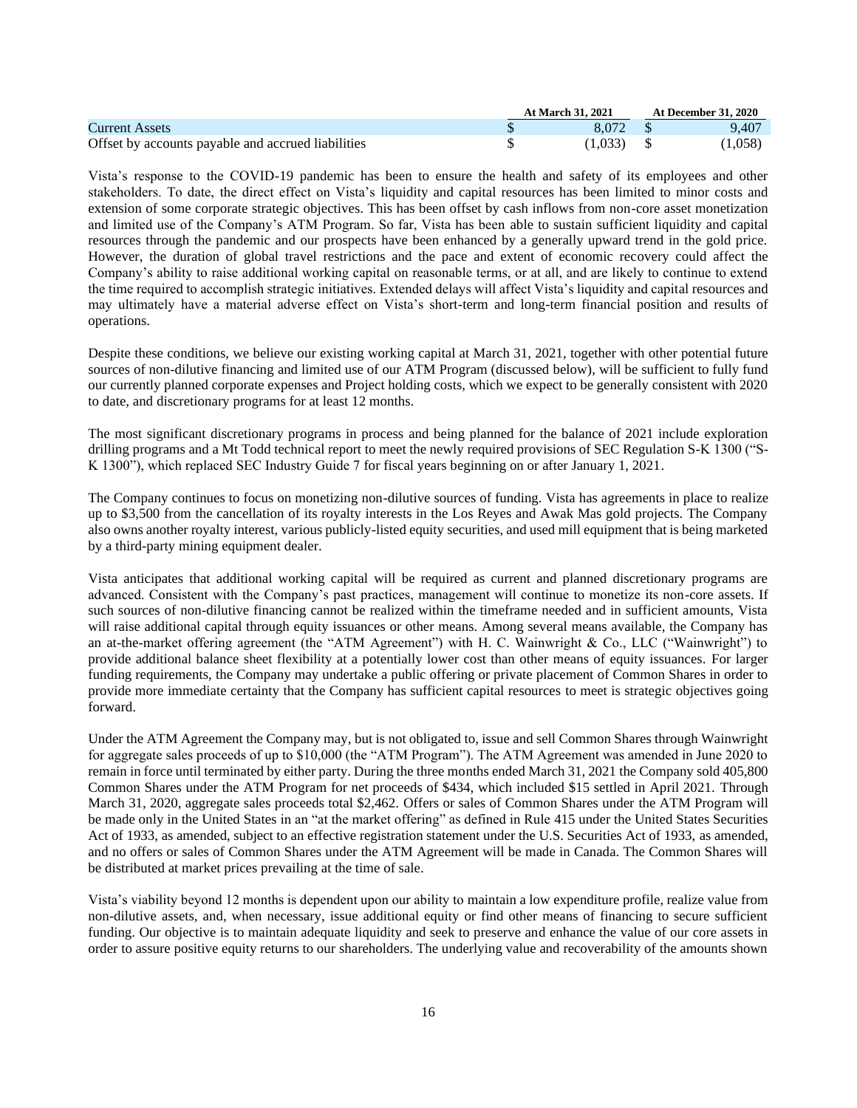|                                                    | <b>At March 31, 2021</b> | <b>At December 31, 2020</b> |
|----------------------------------------------------|--------------------------|-----------------------------|
| <b>Current Assets</b>                              | 8.072 \$                 | 9.407                       |
| Offset by accounts payable and accrued liabilities | $(1.033)$ \$             | (1,058)                     |

Vista's response to the COVID-19 pandemic has been to ensure the health and safety of its employees and other stakeholders. To date, the direct effect on Vista's liquidity and capital resources has been limited to minor costs and extension of some corporate strategic objectives. This has been offset by cash inflows from non-core asset monetization and limited use of the Company's ATM Program. So far, Vista has been able to sustain sufficient liquidity and capital resources through the pandemic and our prospects have been enhanced by a generally upward trend in the gold price. However, the duration of global travel restrictions and the pace and extent of economic recovery could affect the Company's ability to raise additional working capital on reasonable terms, or at all, and are likely to continue to extend the time required to accomplish strategic initiatives. Extended delays will affect Vista's liquidity and capital resources and may ultimately have a material adverse effect on Vista's short-term and long-term financial position and results of operations.

Despite these conditions, we believe our existing working capital at March 31, 2021, together with other potential future sources of non-dilutive financing and limited use of our ATM Program (discussed below), will be sufficient to fully fund our currently planned corporate expenses and Project holding costs, which we expect to be generally consistent with 2020 to date, and discretionary programs for at least 12 months.

The most significant discretionary programs in process and being planned for the balance of 2021 include exploration drilling programs and a Mt Todd technical report to meet the newly required provisions of SEC Regulation S-K 1300 ("S-K 1300"), which replaced SEC Industry Guide 7 for fiscal years beginning on or after January 1, 2021.

The Company continues to focus on monetizing non-dilutive sources of funding. Vista has agreements in place to realize up to \$3,500 from the cancellation of its royalty interests in the Los Reyes and Awak Mas gold projects. The Company also owns another royalty interest, various publicly-listed equity securities, and used mill equipment that is being marketed by a third-party mining equipment dealer.

Vista anticipates that additional working capital will be required as current and planned discretionary programs are advanced. Consistent with the Company's past practices, management will continue to monetize its non-core assets. If such sources of non-dilutive financing cannot be realized within the timeframe needed and in sufficient amounts, Vista will raise additional capital through equity issuances or other means. Among several means available, the Company has an at-the-market offering agreement (the "ATM Agreement") with H. C. Wainwright & Co., LLC ("Wainwright") to provide additional balance sheet flexibility at a potentially lower cost than other means of equity issuances. For larger funding requirements, the Company may undertake a public offering or private placement of Common Shares in order to provide more immediate certainty that the Company has sufficient capital resources to meet is strategic objectives going forward.

Under the ATM Agreement the Company may, but is not obligated to, issue and sell Common Shares through Wainwright for aggregate sales proceeds of up to \$10,000 (the "ATM Program"). The ATM Agreement was amended in June 2020 to remain in force until terminated by either party. During the three months ended March 31, 2021 the Company sold 405,800 Common Shares under the ATM Program for net proceeds of \$434, which included \$15 settled in April 2021. Through March 31, 2020, aggregate sales proceeds total \$2,462. Offers or sales of Common Shares under the ATM Program will be made only in the United States in an "at the market offering" as defined in Rule 415 under the United States Securities Act of 1933, as amended, subject to an effective registration statement under the U.S. Securities Act of 1933, as amended, and no offers or sales of Common Shares under the ATM Agreement will be made in Canada. The Common Shares will be distributed at market prices prevailing at the time of sale.

Vista's viability beyond 12 months is dependent upon our ability to maintain a low expenditure profile, realize value from non-dilutive assets, and, when necessary, issue additional equity or find other means of financing to secure sufficient funding. Our objective is to maintain adequate liquidity and seek to preserve and enhance the value of our core assets in order to assure positive equity returns to our shareholders. The underlying value and recoverability of the amounts shown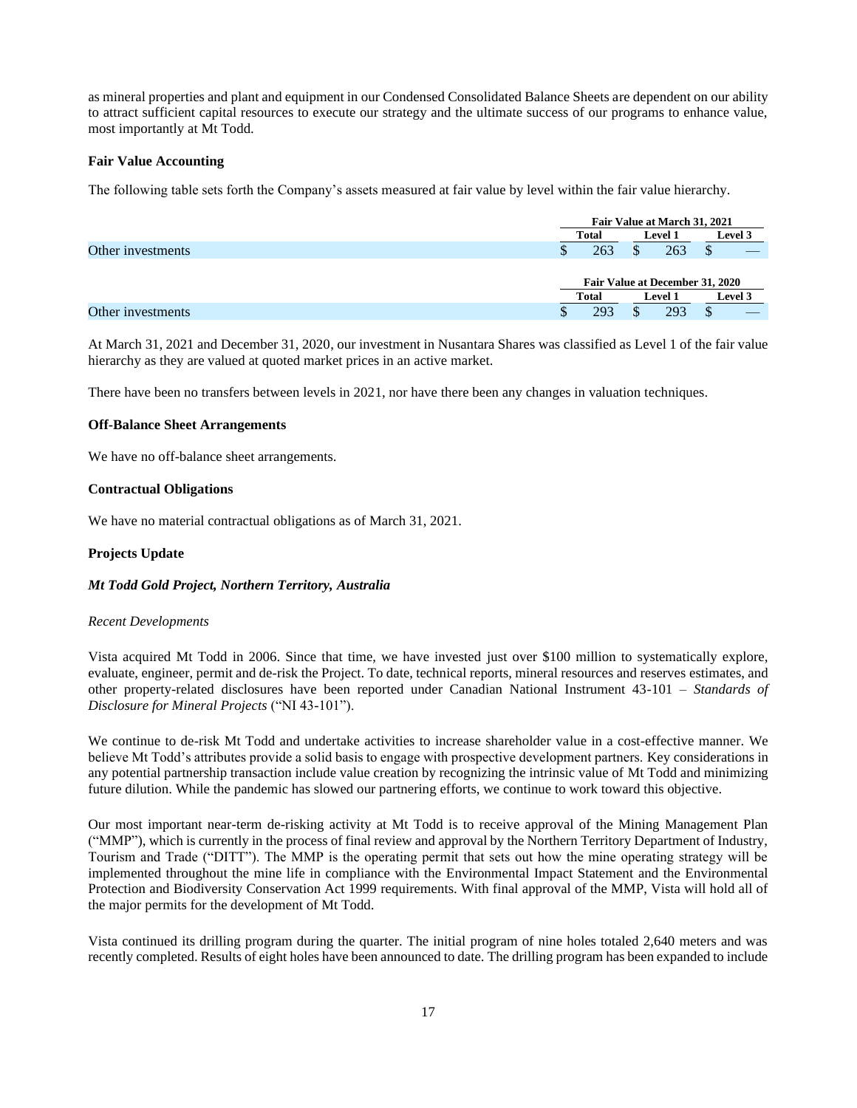as mineral properties and plant and equipment in our Condensed Consolidated Balance Sheets are dependent on our ability to attract sufficient capital resources to execute our strategy and the ultimate success of our programs to enhance value, most importantly at Mt Todd.

### **Fair Value Accounting**

The following table sets forth the Company's assets measured at fair value by level within the fair value hierarchy.

|                   |    | Fair Value at March 31, 2021       |                |   |  |
|-------------------|----|------------------------------------|----------------|---|--|
|                   |    | Total                              | <b>Level 3</b> |   |  |
| Other investments | ۰D | 263<br>263                         |                | D |  |
|                   |    | Fair Value at December 31, 2020    |                |   |  |
|                   |    | Level 3<br>Total<br><b>Level 1</b> |                |   |  |
| Other investments |    | 293                                | 293            | Φ |  |

At March 31, 2021 and December 31, 2020, our investment in Nusantara Shares was classified as Level 1 of the fair value hierarchy as they are valued at quoted market prices in an active market.

There have been no transfers between levels in 2021, nor have there been any changes in valuation techniques.

#### **Off-Balance Sheet Arrangements**

We have no off-balance sheet arrangements.

#### **Contractual Obligations**

We have no material contractual obligations as of March 31, 2021.

#### **Projects Update**

#### *Mt Todd Gold Project, Northern Territory, Australia*

#### *Recent Developments*

Vista acquired Mt Todd in 2006. Since that time, we have invested just over \$100 million to systematically explore, evaluate, engineer, permit and de-risk the Project. To date, technical reports, mineral resources and reserves estimates, and other property-related disclosures have been reported under Canadian National Instrument 43-101 – *Standards of Disclosure for Mineral Projects* ("NI 43-101").

We continue to de-risk Mt Todd and undertake activities to increase shareholder value in a cost-effective manner. We believe Mt Todd's attributes provide a solid basis to engage with prospective development partners. Key considerations in any potential partnership transaction include value creation by recognizing the intrinsic value of Mt Todd and minimizing future dilution. While the pandemic has slowed our partnering efforts, we continue to work toward this objective.

Our most important near-term de-risking activity at Mt Todd is to receive approval of the Mining Management Plan ("MMP"), which is currently in the process of final review and approval by the Northern Territory Department of Industry, Tourism and Trade ("DITT"). The MMP is the operating permit that sets out how the mine operating strategy will be implemented throughout the mine life in compliance with the Environmental Impact Statement and the Environmental Protection and Biodiversity Conservation Act 1999 requirements. With final approval of the MMP, Vista will hold all of the major permits for the development of Mt Todd.

Vista continued its drilling program during the quarter. The initial program of nine holes totaled 2,640 meters and was recently completed. Results of eight holes have been announced to date. The drilling program has been expanded to include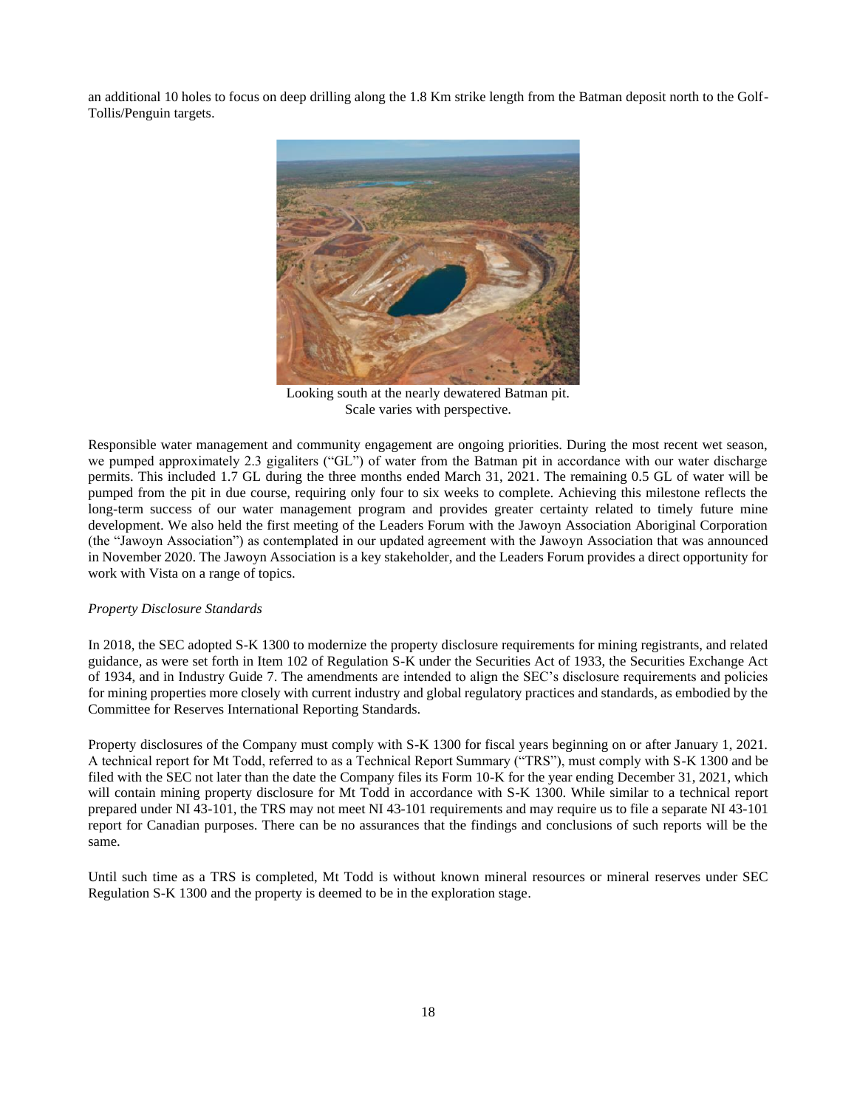an additional 10 holes to focus on deep drilling along the 1.8 Km strike length from the Batman deposit north to the Golf-Tollis/Penguin targets.



Looking south at the nearly dewatered Batman pit. Scale varies with perspective.

Responsible water management and community engagement are ongoing priorities. During the most recent wet season, we pumped approximately 2.3 gigaliters ("GL") of water from the Batman pit in accordance with our water discharge permits. This included 1.7 GL during the three months ended March 31, 2021. The remaining 0.5 GL of water will be pumped from the pit in due course, requiring only four to six weeks to complete. Achieving this milestone reflects the long-term success of our water management program and provides greater certainty related to timely future mine development. We also held the first meeting of the Leaders Forum with the Jawoyn Association Aboriginal Corporation (the "Jawoyn Association") as contemplated in our updated agreement with the Jawoyn Association that was announced in November 2020. The Jawoyn Association is a key stakeholder, and the Leaders Forum provides a direct opportunity for work with Vista on a range of topics.

### *Property Disclosure Standards*

In 2018, the SEC adopted S-K 1300 to modernize the property disclosure requirements for mining registrants, and related guidance, as were set forth in Item 102 of Regulation S-K under the Securities Act of 1933, the Securities Exchange Act of 1934, and in Industry Guide 7. The amendments are intended to align the SEC's disclosure requirements and policies for mining properties more closely with current industry and global regulatory practices and standards, as embodied by the Committee for Reserves International Reporting Standards.

Property disclosures of the Company must comply with S-K 1300 for fiscal years beginning on or after January 1, 2021. A technical report for Mt Todd, referred to as a Technical Report Summary ("TRS"), must comply with S-K 1300 and be filed with the SEC not later than the date the Company files its Form 10-K for the year ending December 31, 2021, which will contain mining property disclosure for Mt Todd in accordance with S-K 1300. While similar to a technical report prepared under NI 43-101, the TRS may not meet NI 43-101 requirements and may require us to file a separate NI 43-101 report for Canadian purposes. There can be no assurances that the findings and conclusions of such reports will be the same.

Until such time as a TRS is completed, Mt Todd is without known mineral resources or mineral reserves under SEC Regulation S-K 1300 and the property is deemed to be in the exploration stage.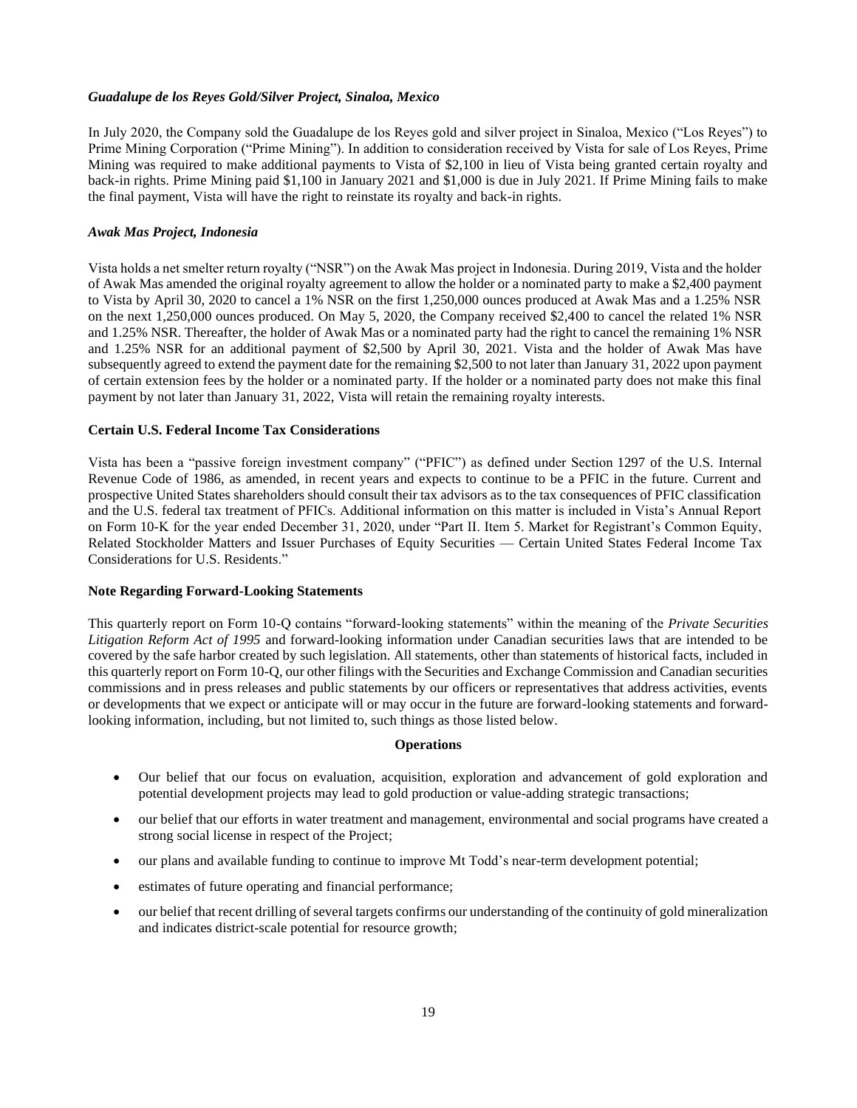#### *Guadalupe de los Reyes Gold/Silver Project, Sinaloa, Mexico*

In July 2020, the Company sold the Guadalupe de los Reyes gold and silver project in Sinaloa, Mexico ("Los Reyes") to Prime Mining Corporation ("Prime Mining"). In addition to consideration received by Vista for sale of Los Reyes, Prime Mining was required to make additional payments to Vista of \$2,100 in lieu of Vista being granted certain royalty and back-in rights. Prime Mining paid \$1,100 in January 2021 and \$1,000 is due in July 2021. If Prime Mining fails to make the final payment, Vista will have the right to reinstate its royalty and back-in rights.

#### *Awak Mas Project, Indonesia*

Vista holds a net smelter return royalty ("NSR") on the Awak Mas project in Indonesia. During 2019, Vista and the holder of Awak Mas amended the original royalty agreement to allow the holder or a nominated party to make a \$2,400 payment to Vista by April 30, 2020 to cancel a 1% NSR on the first 1,250,000 ounces produced at Awak Mas and a 1.25% NSR on the next 1,250,000 ounces produced. On May 5, 2020, the Company received \$2,400 to cancel the related 1% NSR and 1.25% NSR. Thereafter, the holder of Awak Mas or a nominated party had the right to cancel the remaining 1% NSR and 1.25% NSR for an additional payment of \$2,500 by April 30, 2021. Vista and the holder of Awak Mas have subsequently agreed to extend the payment date for the remaining \$2,500 to not later than January 31, 2022 upon payment of certain extension fees by the holder or a nominated party. If the holder or a nominated party does not make this final payment by not later than January 31, 2022, Vista will retain the remaining royalty interests.

### **Certain U.S. Federal Income Tax Considerations**

Vista has been a "passive foreign investment company" ("PFIC") as defined under Section 1297 of the U.S. Internal Revenue Code of 1986, as amended, in recent years and expects to continue to be a PFIC in the future. Current and prospective United States shareholders should consult their tax advisors as to the tax consequences of PFIC classification and the U.S. federal tax treatment of PFICs. Additional information on this matter is included in Vista's Annual Report on Form 10-K for the year ended December 31, 2020, under "Part II. Item 5. Market for Registrant's Common Equity, Related Stockholder Matters and Issuer Purchases of Equity Securities — Certain United States Federal Income Tax Considerations for U.S. Residents."

### **Note Regarding Forward-Looking Statements**

This quarterly report on Form 10-Q contains "forward-looking statements" within the meaning of the *Private Securities Litigation Reform Act of 1995* and forward-looking information under Canadian securities laws that are intended to be covered by the safe harbor created by such legislation. All statements, other than statements of historical facts, included in this quarterly report on Form 10-Q, our other filings with the Securities and Exchange Commission and Canadian securities commissions and in press releases and public statements by our officers or representatives that address activities, events or developments that we expect or anticipate will or may occur in the future are forward-looking statements and forwardlooking information, including, but not limited to, such things as those listed below.

#### **Operations**

- Our belief that our focus on evaluation, acquisition, exploration and advancement of gold exploration and potential development projects may lead to gold production or value-adding strategic transactions;
- our belief that our efforts in water treatment and management, environmental and social programs have created a strong social license in respect of the Project;
- our plans and available funding to continue to improve Mt Todd's near-term development potential;
- estimates of future operating and financial performance;
- our belief that recent drilling of several targets confirms our understanding of the continuity of gold mineralization and indicates district-scale potential for resource growth;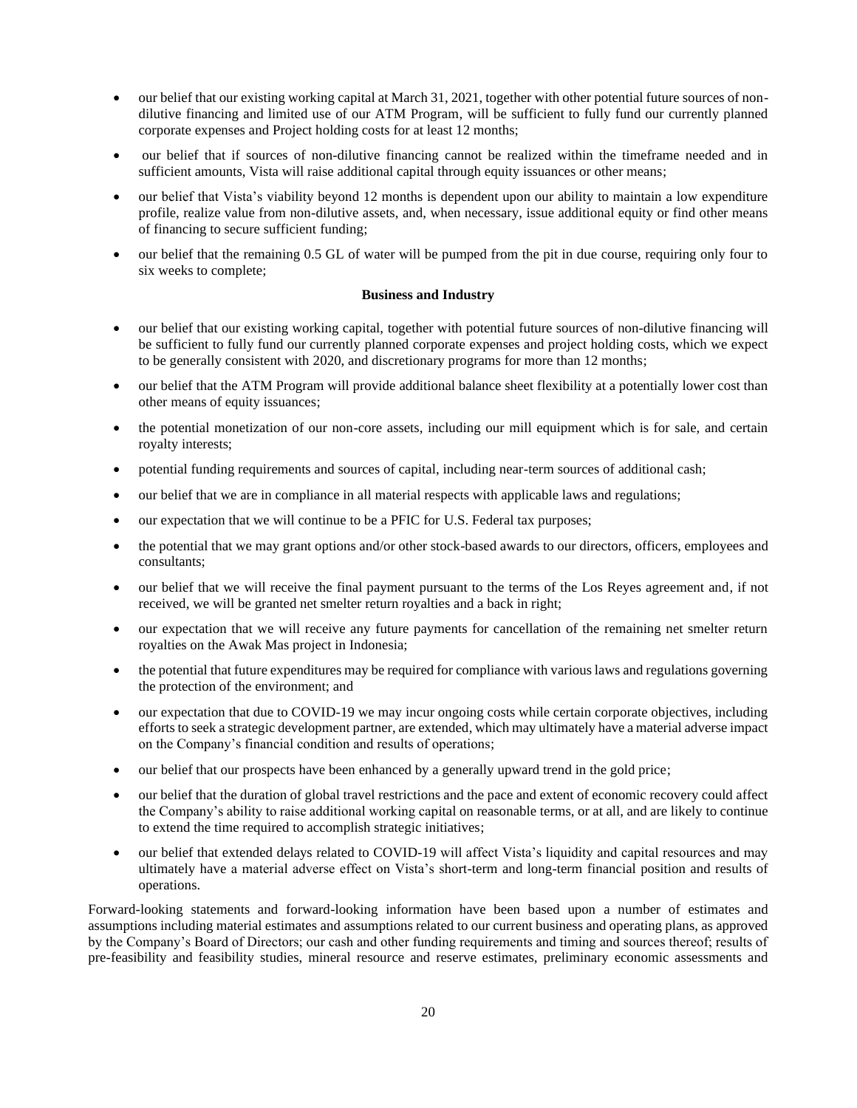- our belief that our existing working capital at March 31, 2021, together with other potential future sources of nondilutive financing and limited use of our ATM Program, will be sufficient to fully fund our currently planned corporate expenses and Project holding costs for at least 12 months;
- our belief that if sources of non-dilutive financing cannot be realized within the timeframe needed and in sufficient amounts, Vista will raise additional capital through equity issuances or other means;
- our belief that Vista's viability beyond 12 months is dependent upon our ability to maintain a low expenditure profile, realize value from non-dilutive assets, and, when necessary, issue additional equity or find other means of financing to secure sufficient funding;
- our belief that the remaining 0.5 GL of water will be pumped from the pit in due course, requiring only four to six weeks to complete;

### **Business and Industry**

- our belief that our existing working capital, together with potential future sources of non-dilutive financing will be sufficient to fully fund our currently planned corporate expenses and project holding costs, which we expect to be generally consistent with 2020, and discretionary programs for more than 12 months;
- our belief that the ATM Program will provide additional balance sheet flexibility at a potentially lower cost than other means of equity issuances;
- the potential monetization of our non-core assets, including our mill equipment which is for sale, and certain royalty interests;
- potential funding requirements and sources of capital, including near-term sources of additional cash;
- our belief that we are in compliance in all material respects with applicable laws and regulations;
- our expectation that we will continue to be a PFIC for U.S. Federal tax purposes;
- the potential that we may grant options and/or other stock-based awards to our directors, officers, employees and consultants;
- our belief that we will receive the final payment pursuant to the terms of the Los Reyes agreement and, if not received, we will be granted net smelter return royalties and a back in right;
- our expectation that we will receive any future payments for cancellation of the remaining net smelter return royalties on the Awak Mas project in Indonesia;
- the potential that future expenditures may be required for compliance with various laws and regulations governing the protection of the environment; and
- our expectation that due to COVID-19 we may incur ongoing costs while certain corporate objectives, including efforts to seek a strategic development partner, are extended, which may ultimately have a material adverse impact on the Company's financial condition and results of operations;
- our belief that our prospects have been enhanced by a generally upward trend in the gold price;
- our belief that the duration of global travel restrictions and the pace and extent of economic recovery could affect the Company's ability to raise additional working capital on reasonable terms, or at all, and are likely to continue to extend the time required to accomplish strategic initiatives;
- our belief that extended delays related to COVID-19 will affect Vista's liquidity and capital resources and may ultimately have a material adverse effect on Vista's short-term and long-term financial position and results of operations.

Forward-looking statements and forward-looking information have been based upon a number of estimates and assumptions including material estimates and assumptions related to our current business and operating plans, as approved by the Company's Board of Directors; our cash and other funding requirements and timing and sources thereof; results of pre-feasibility and feasibility studies, mineral resource and reserve estimates, preliminary economic assessments and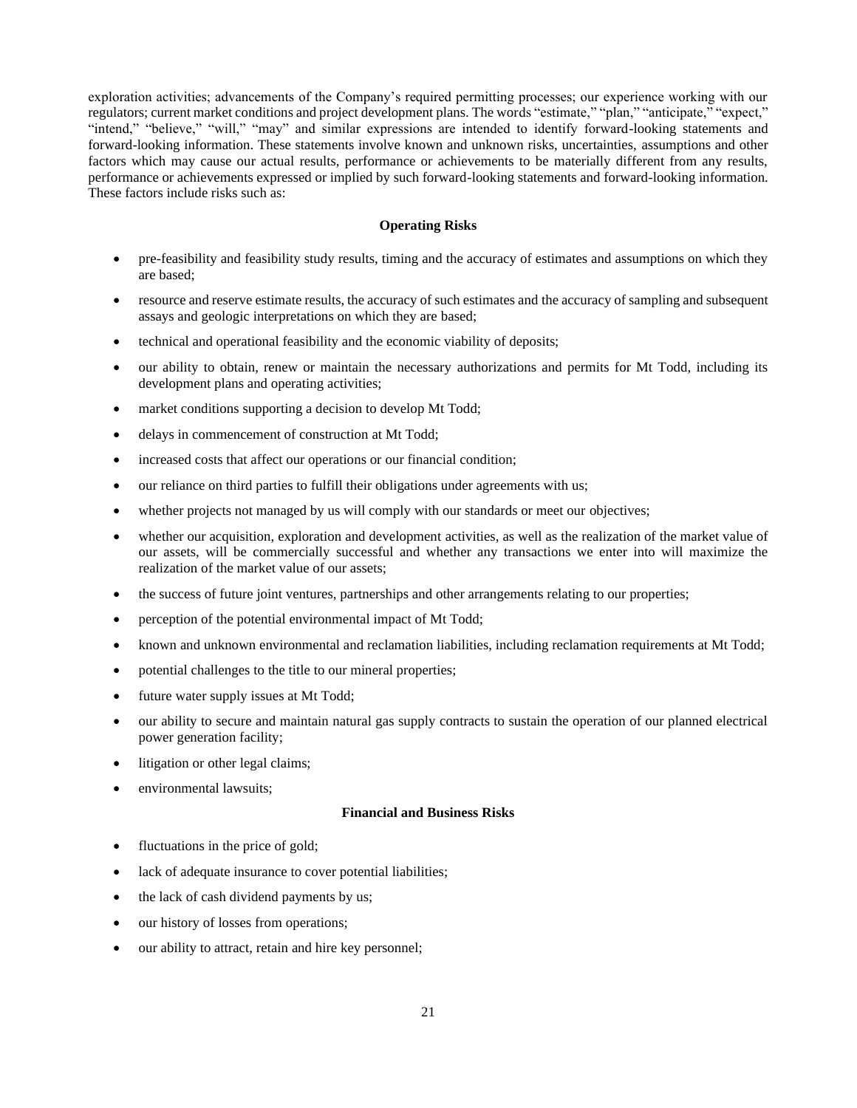exploration activities; advancements of the Company's required permitting processes; our experience working with our regulators; current market conditions and project development plans. The words "estimate," "plan," "anticipate," "expect," "intend," "believe," "will," "may" and similar expressions are intended to identify forward-looking statements and forward-looking information. These statements involve known and unknown risks, uncertainties, assumptions and other factors which may cause our actual results, performance or achievements to be materially different from any results, performance or achievements expressed or implied by such forward-looking statements and forward-looking information. These factors include risks such as:

### **Operating Risks**

- pre-feasibility and feasibility study results, timing and the accuracy of estimates and assumptions on which they are based;
- resource and reserve estimate results, the accuracy of such estimates and the accuracy of sampling and subsequent assays and geologic interpretations on which they are based;
- technical and operational feasibility and the economic viability of deposits;
- our ability to obtain, renew or maintain the necessary authorizations and permits for Mt Todd, including its development plans and operating activities;
- market conditions supporting a decision to develop Mt Todd;
- delays in commencement of construction at Mt Todd;
- increased costs that affect our operations or our financial condition;
- our reliance on third parties to fulfill their obligations under agreements with us;
- whether projects not managed by us will comply with our standards or meet our objectives;
- whether our acquisition, exploration and development activities, as well as the realization of the market value of our assets, will be commercially successful and whether any transactions we enter into will maximize the realization of the market value of our assets;
- the success of future joint ventures, partnerships and other arrangements relating to our properties;
- perception of the potential environmental impact of Mt Todd;
- known and unknown environmental and reclamation liabilities, including reclamation requirements at Mt Todd;
- potential challenges to the title to our mineral properties;
- future water supply issues at Mt Todd;
- our ability to secure and maintain natural gas supply contracts to sustain the operation of our planned electrical power generation facility;
- litigation or other legal claims;
- environmental lawsuits;

### **Financial and Business Risks**

- fluctuations in the price of gold;
- lack of adequate insurance to cover potential liabilities;
- the lack of cash dividend payments by us;
- our history of losses from operations;
- our ability to attract, retain and hire key personnel;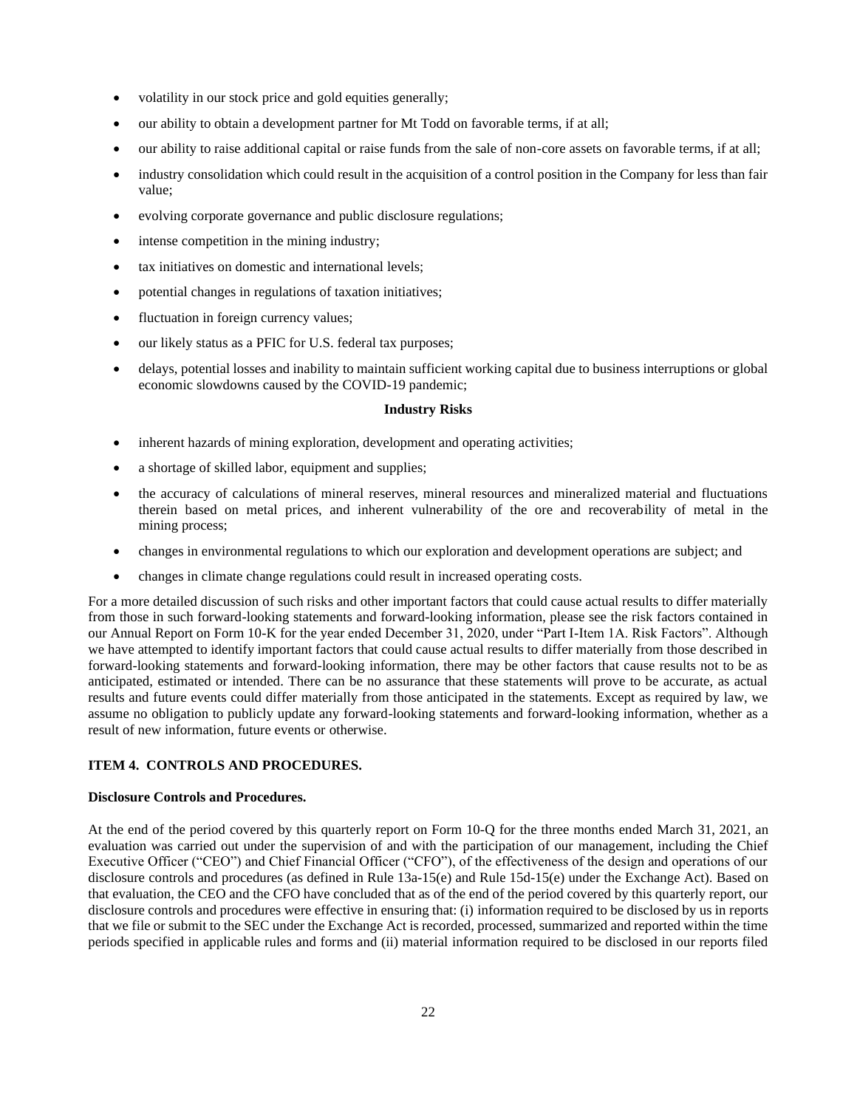- volatility in our stock price and gold equities generally;
- our ability to obtain a development partner for Mt Todd on favorable terms, if at all;
- our ability to raise additional capital or raise funds from the sale of non-core assets on favorable terms, if at all;
- industry consolidation which could result in the acquisition of a control position in the Company for less than fair value;
- evolving corporate governance and public disclosure regulations;
- intense competition in the mining industry;
- tax initiatives on domestic and international levels;
- potential changes in regulations of taxation initiatives;
- fluctuation in foreign currency values;
- our likely status as a PFIC for U.S. federal tax purposes;
- delays, potential losses and inability to maintain sufficient working capital due to business interruptions or global economic slowdowns caused by the COVID-19 pandemic;

### **Industry Risks**

- inherent hazards of mining exploration, development and operating activities;
- a shortage of skilled labor, equipment and supplies;
- the accuracy of calculations of mineral reserves, mineral resources and mineralized material and fluctuations therein based on metal prices, and inherent vulnerability of the ore and recoverability of metal in the mining process;
- changes in environmental regulations to which our exploration and development operations are subject; and
- changes in climate change regulations could result in increased operating costs.

For a more detailed discussion of such risks and other important factors that could cause actual results to differ materially from those in such forward-looking statements and forward-looking information, please see the risk factors contained in our Annual Report on Form 10-K for the year ended December 31, 2020, under "Part I-Item 1A. Risk Factors". Although we have attempted to identify important factors that could cause actual results to differ materially from those described in forward-looking statements and forward-looking information, there may be other factors that cause results not to be as anticipated, estimated or intended. There can be no assurance that these statements will prove to be accurate, as actual results and future events could differ materially from those anticipated in the statements. Except as required by law, we assume no obligation to publicly update any forward-looking statements and forward-looking information, whether as a result of new information, future events or otherwise.

# <span id="page-21-0"></span>**ITEM 4. CONTROLS AND PROCEDURES.**

### **Disclosure Controls and Procedures.**

At the end of the period covered by this quarterly report on Form 10-Q for the three months ended March 31, 2021, an evaluation was carried out under the supervision of and with the participation of our management, including the Chief Executive Officer ("CEO") and Chief Financial Officer ("CFO"), of the effectiveness of the design and operations of our disclosure controls and procedures (as defined in Rule 13a-15(e) and Rule 15d-15(e) under the Exchange Act). Based on that evaluation, the CEO and the CFO have concluded that as of the end of the period covered by this quarterly report, our disclosure controls and procedures were effective in ensuring that: (i) information required to be disclosed by us in reports that we file or submit to the SEC under the Exchange Act is recorded, processed, summarized and reported within the time periods specified in applicable rules and forms and (ii) material information required to be disclosed in our reports filed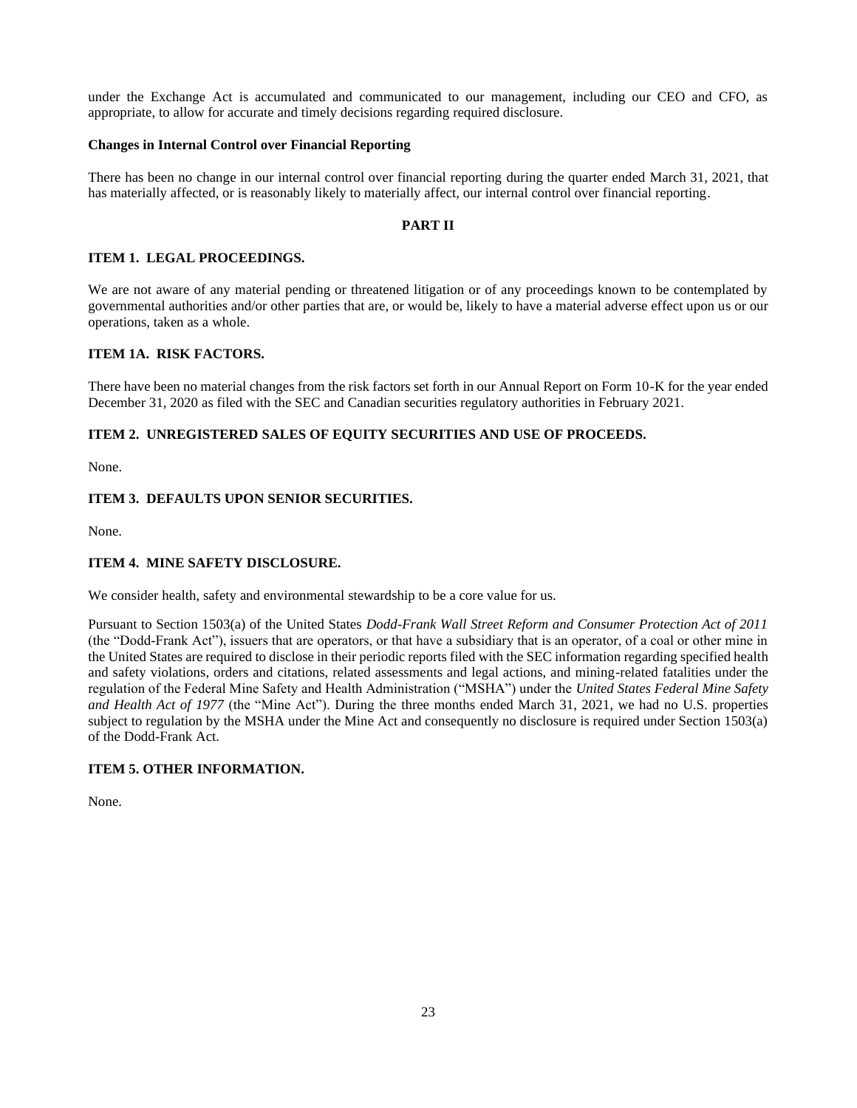under the Exchange Act is accumulated and communicated to our management, including our CEO and CFO, as appropriate, to allow for accurate and timely decisions regarding required disclosure.

### **Changes in Internal Control over Financial Reporting**

There has been no change in our internal control over financial reporting during the quarter ended March 31, 2021, that has materially affected, or is reasonably likely to materially affect, our internal control over financial reporting.

### <span id="page-22-4"></span><span id="page-22-3"></span><span id="page-22-1"></span><span id="page-22-0"></span>**PART II**

### **ITEM 1. LEGAL PROCEEDINGS.**

We are not aware of any material pending or threatened litigation or of any proceedings known to be contemplated by governmental authorities and/or other parties that are, or would be, likely to have a material adverse effect upon us or our operations, taken as a whole.

### <span id="page-22-2"></span>**ITEM 1A. RISK FACTORS.**

There have been no material changes from the risk factors set forth in our Annual Report on Form 10-K for the year ended December 31, 2020 as filed with the SEC and Canadian securities regulatory authorities in February 2021.

### **ITEM 2. UNREGISTERED SALES OF EQUITY SECURITIES AND USE OF PROCEEDS.**

None.

### **ITEM 3. DEFAULTS UPON SENIOR SECURITIES.**

None.

### <span id="page-22-5"></span>**ITEM 4. MINE SAFETY DISCLOSURE.**

We consider health, safety and environmental stewardship to be a core value for us.

Pursuant to Section 1503(a) of the United States *Dodd-Frank Wall Street Reform and Consumer Protection Act of 2011* (the "Dodd-Frank Act"), issuers that are operators, or that have a subsidiary that is an operator, of a coal or other mine in the United States are required to disclose in their periodic reports filed with the SEC information regarding specified health and safety violations, orders and citations, related assessments and legal actions, and mining-related fatalities under the regulation of the Federal Mine Safety and Health Administration ("MSHA") under the *United States Federal Mine Safety and Health Act of 1977* (the "Mine Act"). During the three months ended March 31, 2021, we had no U.S. properties subject to regulation by the MSHA under the Mine Act and consequently no disclosure is required under Section 1503(a) of the Dodd-Frank Act.

### <span id="page-22-6"></span>**ITEM 5. OTHER INFORMATION.**

None.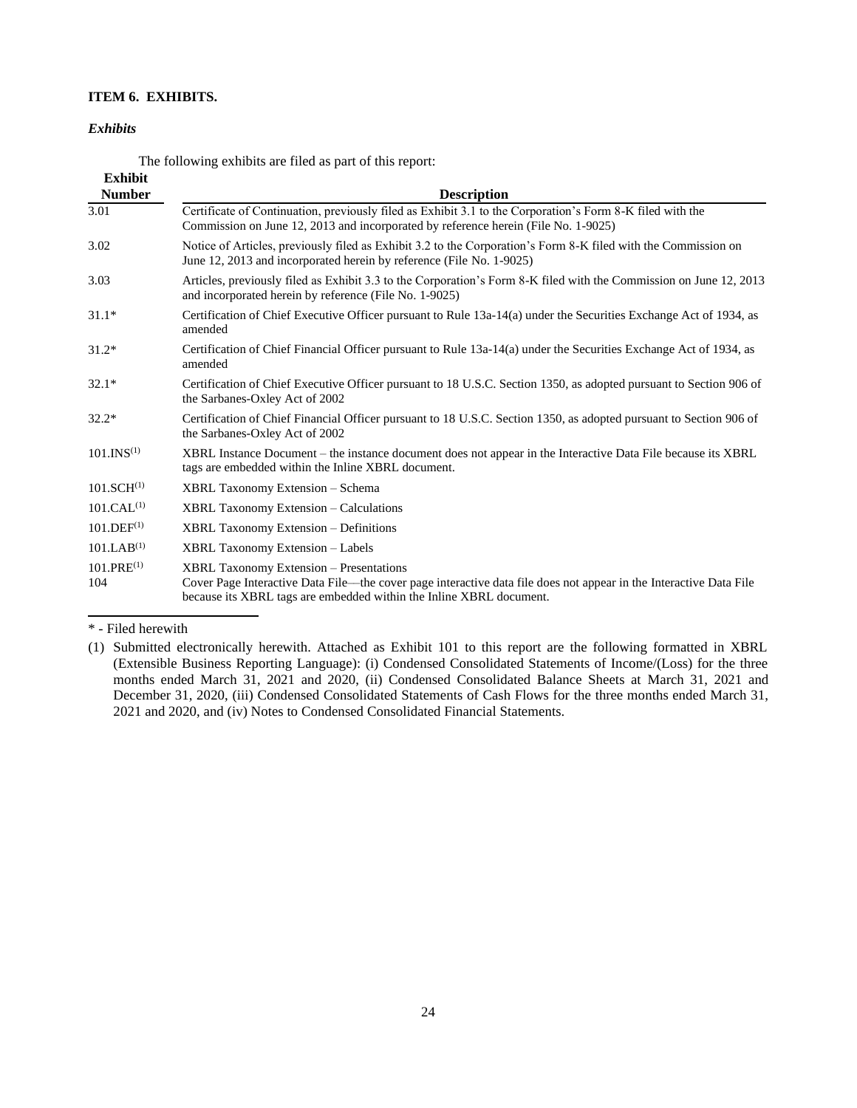# **ITEM 6. EXHIBITS.**

#### *Exhibits*

<span id="page-23-0"></span>The following exhibits are filed as part of this report:

| <b>Exhibit</b><br><b>Number</b> | <b>Description</b>                                                                                                                                                                                                                          |
|---------------------------------|---------------------------------------------------------------------------------------------------------------------------------------------------------------------------------------------------------------------------------------------|
| 3.01                            | Certificate of Continuation, previously filed as Exhibit 3.1 to the Corporation's Form 8-K filed with the<br>Commission on June 12, 2013 and incorporated by reference herein (File No. 1-9025)                                             |
| 3.02                            | Notice of Articles, previously filed as Exhibit 3.2 to the Corporation's Form 8-K filed with the Commission on<br>June 12, 2013 and incorporated herein by reference (File No. 1-9025)                                                      |
| 3.03                            | Articles, previously filed as Exhibit 3.3 to the Corporation's Form 8-K filed with the Commission on June 12, 2013<br>and incorporated herein by reference (File No. 1-9025)                                                                |
| $31.1*$                         | Certification of Chief Executive Officer pursuant to Rule 13a-14(a) under the Securities Exchange Act of 1934, as<br>amended                                                                                                                |
| $31.2*$                         | Certification of Chief Financial Officer pursuant to Rule 13a-14(a) under the Securities Exchange Act of 1934, as<br>amended                                                                                                                |
| $32.1*$                         | Certification of Chief Executive Officer pursuant to 18 U.S.C. Section 1350, as adopted pursuant to Section 906 of<br>the Sarbanes-Oxley Act of 2002                                                                                        |
| $32.2*$                         | Certification of Chief Financial Officer pursuant to 18 U.S.C. Section 1350, as adopted pursuant to Section 906 of<br>the Sarbanes-Oxley Act of 2002                                                                                        |
| $101.$ INS <sup>(1)</sup>       | XBRL Instance Document – the instance document does not appear in the Interactive Data File because its XBRL<br>tags are embedded within the Inline XBRL document.                                                                          |
| 101.SCH <sup>(1)</sup>          | XBRL Taxonomy Extension - Schema                                                                                                                                                                                                            |
| 101.CAL <sup>(1)</sup>          | <b>XBRL Taxonomy Extension – Calculations</b>                                                                                                                                                                                               |
| 101.DEF <sup>(1)</sup>          | <b>XBRL Taxonomy Extension - Definitions</b>                                                                                                                                                                                                |
| 101.LAB <sup>(1)</sup>          | <b>XBRL Taxonomy Extension - Labels</b>                                                                                                                                                                                                     |
| $101.PRE^{(1)}$<br>104          | <b>XBRL Taxonomy Extension – Presentations</b><br>Cover Page Interactive Data File—the cover page interactive data file does not appear in the Interactive Data File<br>because its XBRL tags are embedded within the Inline XBRL document. |

\* - Filed herewith

<sup>(1)</sup> Submitted electronically herewith. Attached as Exhibit 101 to this report are the following formatted in XBRL (Extensible Business Reporting Language): (i) Condensed Consolidated Statements of Income/(Loss) for the three months ended March 31, 2021 and 2020, (ii) Condensed Consolidated Balance Sheets at March 31, 2021 and December 31, 2020, (iii) Condensed Consolidated Statements of Cash Flows for the three months ended March 31, 2021 and 2020, and (iv) Notes to Condensed Consolidated Financial Statements.